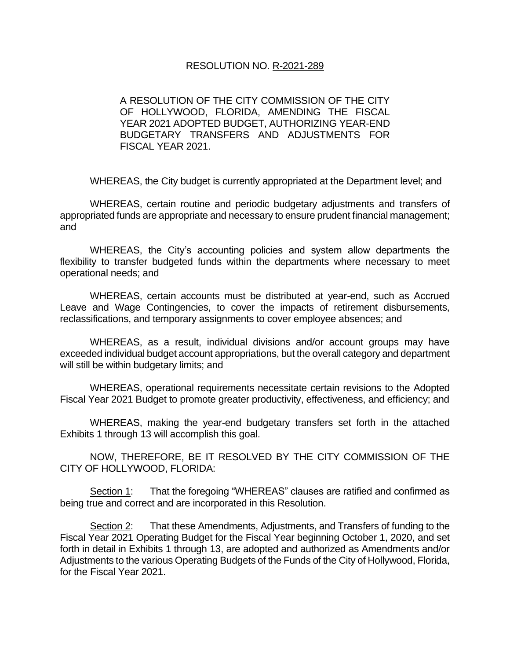### RESOLUTION NO. R-2021-289

A RESOLUTION OF THE CITY COMMISSION OF THE CITY OF HOLLYWOOD, FLORIDA, AMENDING THE FISCAL YEAR 2021 ADOPTED BUDGET, AUTHORIZING YEAR-END BUDGETARY TRANSFERS AND ADJUSTMENTS FOR FISCAL YEAR 2021.

WHEREAS, the City budget is currently appropriated at the Department level; and

WHEREAS, certain routine and periodic budgetary adjustments and transfers of appropriated funds are appropriate and necessary to ensure prudent financial management; and

WHEREAS, the City's accounting policies and system allow departments the flexibility to transfer budgeted funds within the departments where necessary to meet operational needs; and

WHEREAS, certain accounts must be distributed at year-end, such as Accrued Leave and Wage Contingencies, to cover the impacts of retirement disbursements, reclassifications, and temporary assignments to cover employee absences; and

WHEREAS, as a result, individual divisions and/or account groups may have exceeded individual budget account appropriations, but the overall category and department will still be within budgetary limits; and

WHEREAS, operational requirements necessitate certain revisions to the Adopted Fiscal Year 2021 Budget to promote greater productivity, effectiveness, and efficiency; and

WHEREAS, making the year-end budgetary transfers set forth in the attached Exhibits 1 through 13 will accomplish this goal.

NOW, THEREFORE, BE IT RESOLVED BY THE CITY COMMISSION OF THE CITY OF HOLLYWOOD, FLORIDA:

Section 1: That the foregoing "WHEREAS" clauses are ratified and confirmed as being true and correct and are incorporated in this Resolution.

Section 2: That these Amendments, Adjustments, and Transfers of funding to the Fiscal Year 2021 Operating Budget for the Fiscal Year beginning October 1, 2020, and set forth in detail in Exhibits 1 through 13, are adopted and authorized as Amendments and/or Adjustments to the various Operating Budgets of the Funds of the City of Hollywood, Florida, for the Fiscal Year 2021.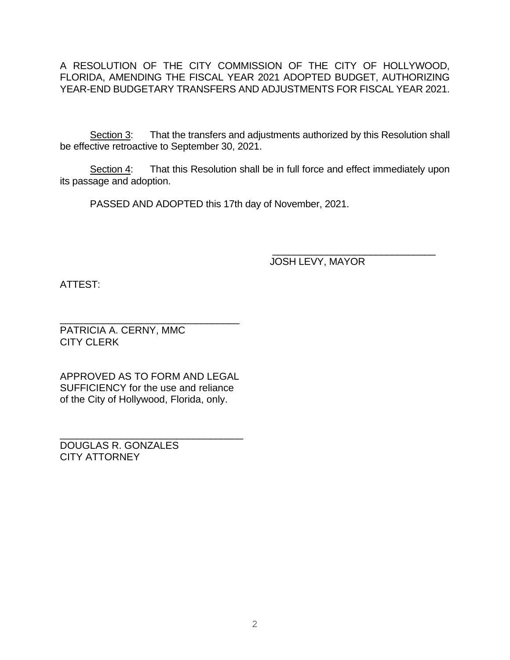A RESOLUTION OF THE CITY COMMISSION OF THE CITY OF HOLLYWOOD, FLORIDA, AMENDING THE FISCAL YEAR 2021 ADOPTED BUDGET, AUTHORIZING YEAR-END BUDGETARY TRANSFERS AND ADJUSTMENTS FOR FISCAL YEAR 2021.

Section 3: That the transfers and adjustments authorized by this Resolution shall be effective retroactive to September 30, 2021.

Section 4: That this Resolution shall be in full force and effect immediately upon its passage and adoption.

PASSED AND ADOPTED this 17th day of November, 2021.

 $\frac{1}{2}$  ,  $\frac{1}{2}$  ,  $\frac{1}{2}$  ,  $\frac{1}{2}$  ,  $\frac{1}{2}$  ,  $\frac{1}{2}$  ,  $\frac{1}{2}$  ,  $\frac{1}{2}$  ,  $\frac{1}{2}$  ,  $\frac{1}{2}$  ,  $\frac{1}{2}$  ,  $\frac{1}{2}$  ,  $\frac{1}{2}$  ,  $\frac{1}{2}$  ,  $\frac{1}{2}$  ,  $\frac{1}{2}$  ,  $\frac{1}{2}$  ,  $\frac{1}{2}$  ,  $\frac{1$ JOSH LEVY, MAYOR

ATTEST:

\_\_\_\_\_\_\_\_\_\_\_\_\_\_\_\_\_\_\_\_\_\_\_\_\_\_\_\_\_\_\_\_\_ PATRICIA A. CERNY, MMC CITY CLERK

APPROVED AS TO FORM AND LEGAL SUFFICIENCY for the use and reliance of the City of Hollywood, Florida, only.

\_\_\_\_\_\_\_\_\_\_\_\_\_\_\_\_\_\_\_\_\_\_\_\_\_\_\_\_\_\_\_\_\_ DOUGLAS R. GONZALES CITY ATTORNEY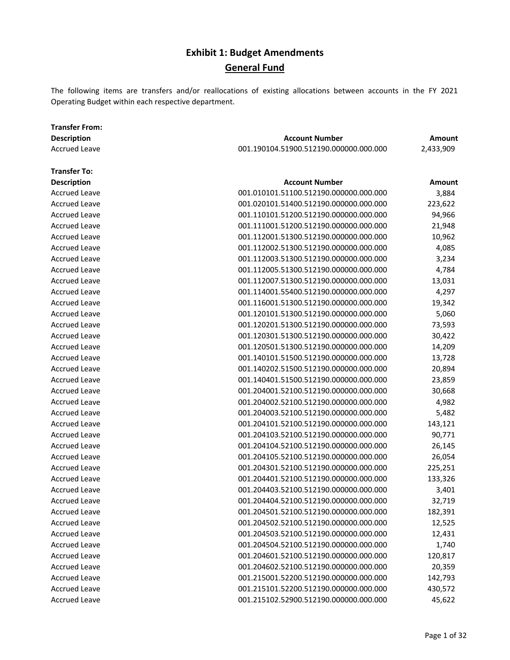The following items are transfers and/or reallocations of existing allocations between accounts in the FY 2021 Operating Budget within each respective department.

| <b>Description</b>   | <b>Account Number</b>                  | Amount        |
|----------------------|----------------------------------------|---------------|
| <b>Accrued Leave</b> | 001.190104.51900.512190.000000.000.000 | 2,433,909     |
| <b>Transfer To:</b>  |                                        |               |
| <b>Description</b>   | <b>Account Number</b>                  | <b>Amount</b> |
| <b>Accrued Leave</b> | 001.010101.51100.512190.000000.000.000 | 3,884         |
| <b>Accrued Leave</b> | 001.020101.51400.512190.000000.000.000 | 223,622       |
| <b>Accrued Leave</b> | 001.110101.51200.512190.000000.000.000 | 94,966        |
| <b>Accrued Leave</b> | 001.111001.51200.512190.000000.000.000 | 21,948        |
| <b>Accrued Leave</b> | 001.112001.51300.512190.000000.000.000 | 10,962        |
| <b>Accrued Leave</b> | 001.112002.51300.512190.000000.000.000 | 4,085         |
| <b>Accrued Leave</b> | 001.112003.51300.512190.000000.000.000 | 3,234         |
| <b>Accrued Leave</b> | 001.112005.51300.512190.000000.000.000 | 4,784         |
| <b>Accrued Leave</b> | 001.112007.51300.512190.000000.000.000 | 13,031        |
| <b>Accrued Leave</b> | 001.114001.55400.512190.000000.000.000 | 4,297         |
| <b>Accrued Leave</b> | 001.116001.51300.512190.000000.000.000 | 19,342        |
| <b>Accrued Leave</b> | 001.120101.51300.512190.000000.000.000 | 5,060         |
| <b>Accrued Leave</b> | 001.120201.51300.512190.000000.000.000 | 73,593        |
| <b>Accrued Leave</b> | 001.120301.51300.512190.000000.000.000 | 30,422        |
| <b>Accrued Leave</b> | 001.120501.51300.512190.000000.000.000 | 14,209        |
| <b>Accrued Leave</b> | 001.140101.51500.512190.000000.000.000 | 13,728        |
| <b>Accrued Leave</b> | 001.140202.51500.512190.000000.000.000 | 20,894        |
| <b>Accrued Leave</b> | 001.140401.51500.512190.000000.000.000 | 23,859        |
| <b>Accrued Leave</b> | 001.204001.52100.512190.000000.000.000 | 30,668        |
| <b>Accrued Leave</b> | 001.204002.52100.512190.000000.000.000 | 4,982         |
| <b>Accrued Leave</b> | 001.204003.52100.512190.000000.000.000 | 5,482         |
| <b>Accrued Leave</b> | 001.204101.52100.512190.000000.000.000 | 143,121       |
| <b>Accrued Leave</b> | 001.204103.52100.512190.000000.000.000 | 90,771        |
| <b>Accrued Leave</b> | 001.204104.52100.512190.000000.000.000 | 26,145        |
| <b>Accrued Leave</b> | 001.204105.52100.512190.000000.000.000 | 26,054        |
| <b>Accrued Leave</b> | 001.204301.52100.512190.000000.000.000 | 225,251       |
| <b>Accrued Leave</b> | 001.204401.52100.512190.000000.000.000 | 133,326       |
| <b>Accrued Leave</b> | 001.204403.52100.512190.000000.000.000 | 3,401         |
| <b>Accrued Leave</b> | 001.204404.52100.512190.000000.000.000 | 32,719        |
| <b>Accrued Leave</b> | 001.204501.52100.512190.000000.000.000 | 182,391       |
| <b>Accrued Leave</b> | 001.204502.52100.512190.000000.000.000 | 12,525        |
| <b>Accrued Leave</b> | 001.204503.52100.512190.000000.000.000 | 12,431        |
| <b>Accrued Leave</b> | 001.204504.52100.512190.000000.000.000 | 1,740         |
| <b>Accrued Leave</b> | 001.204601.52100.512190.000000.000.000 | 120,817       |
| <b>Accrued Leave</b> | 001.204602.52100.512190.000000.000.000 | 20,359        |
| <b>Accrued Leave</b> | 001.215001.52200.512190.000000.000.000 | 142,793       |
| <b>Accrued Leave</b> | 001.215101.52200.512190.000000.000.000 | 430,572       |
| <b>Accrued Leave</b> | 001.215102.52900.512190.000000.000.000 | 45,622        |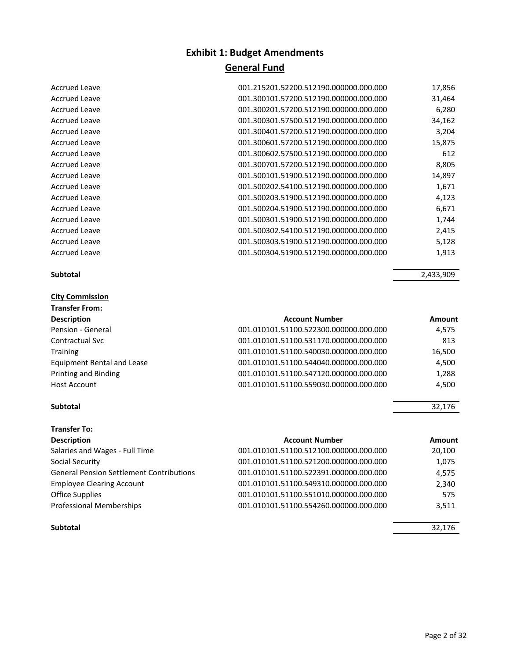| 001.215201.52200.512190.000000.000.000 | 17,856 |
|----------------------------------------|--------|
| 001.300101.57200.512190.000000.000.000 | 31,464 |
| 001.300201.57200.512190.000000.000.000 | 6,280  |
| 001.300301.57500.512190.000000.000.000 | 34,162 |
| 001.300401.57200.512190.000000.000.000 | 3,204  |
| 001.300601.57200.512190.000000.000.000 | 15,875 |
| 001.300602.57500.512190.000000.000.000 | 612    |
| 001.300701.57200.512190.000000.000.000 | 8,805  |
| 001.500101.51900.512190.000000.000.000 | 14,897 |
| 001.500202.54100.512190.000000.000.000 | 1,671  |
| 001.500203.51900.512190.000000.000.000 | 4,123  |
| 001.500204.51900.512190.000000.000.000 | 6,671  |
| 001.500301.51900.512190.000000.000.000 | 1,744  |
| 001.500302.54100.512190.000000.000.000 | 2,415  |
| 001.500303.51900.512190.000000.000.000 | 5,128  |
| 001.500304.51900.512190.000000.000.000 | 1,913  |
|                                        |        |

**Subtotal** 2,433,909

| <b>Description</b>                | <b>Account Number</b>                  | Amount |
|-----------------------------------|----------------------------------------|--------|
| Pension - General                 | 001.010101.51100.522300.000000.000.000 | 4,575  |
| Contractual Svc                   | 001.010101.51100.531170.000000.000.000 | 813    |
| Training                          | 001.010101.51100.540030.000000.000.000 | 16,500 |
| <b>Equipment Rental and Lease</b> | 001.010101.51100.544040.000000.000.000 | 4,500  |
| Printing and Binding              | 001.010101.51100.547120.000000.000.000 | 1,288  |
| Host Account                      | 001.010101.51100.559030.000000.000.000 | 4,500  |
|                                   |                                        |        |

#### **Subtotal** 32,176

**City Commission Transfer From:**

Accrued Leave Accrued Leave Accrued Leave Accrued Leave Accrued Leave Accrued Leave Accrued Leave Accrued Leave Accrued Leave Accrued Leave Accrued Leave Accrued Leave Accrued Leave Accrued Leave Accrued Leave Accrued Leave

| Transfer To:                                    |                                        |               |
|-------------------------------------------------|----------------------------------------|---------------|
| <b>Description</b>                              | <b>Account Number</b>                  | <b>Amount</b> |
| Salaries and Wages - Full Time                  | 001.010101.51100.512100.000000.000.000 | 20,100        |
| Social Security                                 | 001.010101.51100.521200.000000.000.000 | 1,075         |
| <b>General Pension Settlement Contributions</b> | 001.010101.51100.522391.000000.000.000 | 4,575         |
| <b>Employee Clearing Account</b>                | 001.010101.51100.549310.000000.000.000 | 2,340         |
| Office Supplies                                 | 001.010101.51100.551010.000000.000.000 | 575           |
| Professional Memberships                        | 001.010101.51100.554260.000000.000.000 | 3,511         |
| Subtotal                                        |                                        | 32,176        |
|                                                 |                                        |               |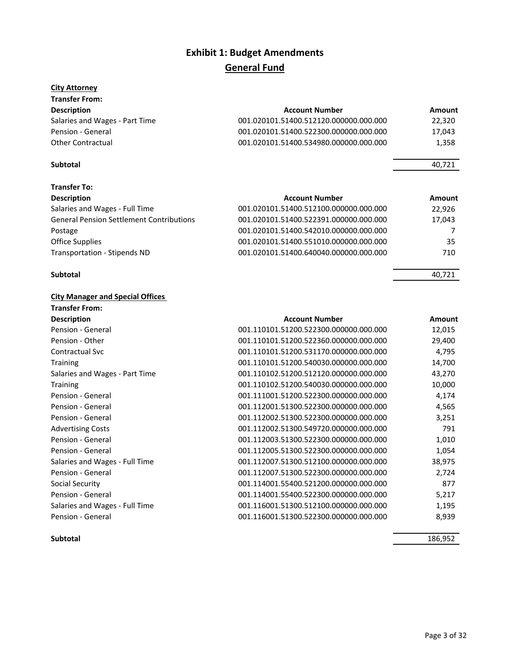#### **City Attorney**

| <b>Transfer From:</b>          |                                        |        |
|--------------------------------|----------------------------------------|--------|
| <b>Description</b>             | <b>Account Number</b>                  | Amount |
| Salaries and Wages - Part Time | 001.020101.51400.512120.000000.000.000 | 22.320 |
| Pension - General              | 001.020101.51400.522300.000000.000.000 | 17.043 |
| <b>Other Contractual</b>       | 001.020101.51400.534980.000000.000.000 | 1,358  |

#### **Subtotal** 40,721

| <b>Transfer To:</b>                             |                                        |        |
|-------------------------------------------------|----------------------------------------|--------|
| <b>Description</b>                              | <b>Account Number</b>                  | Amount |
| Salaries and Wages - Full Time                  | 001.020101.51400.512100.000000.000.000 | 22,926 |
| <b>General Pension Settlement Contributions</b> | 001.020101.51400.522391.000000.000.000 | 17,043 |
| Postage                                         | 001.020101.51400.542010.000000.000.000 | 7      |
| Office Supplies                                 | 001.020101.51400.551010.000000.000.000 | 35     |
| Transportation - Stipends ND                    | 001.020101.51400.640040.000000.000.000 | 710    |

#### **Subtotal** 40,721

**City Manager and Special Offices**

| <b>Transfer From:</b>          |                                        |        |
|--------------------------------|----------------------------------------|--------|
| <b>Description</b>             | <b>Account Number</b>                  | Amount |
| Pension - General              | 001.110101.51200.522300.000000.000.000 | 12,015 |
| Pension - Other                | 001.110101.51200.522360.000000.000.000 | 29,400 |
| <b>Contractual Svc</b>         | 001.110101.51200.531170.000000.000.000 | 4,795  |
| <b>Training</b>                | 001.110101.51200.540030.000000.000.000 | 14,700 |
| Salaries and Wages - Part Time | 001.110102.51200.512120.000000.000.000 | 43,270 |
| <b>Training</b>                | 001.110102.51200.540030.000000.000.000 | 10,000 |
| Pension - General              | 001.111001.51200.522300.000000.000.000 | 4,174  |
| Pension - General              | 001.112001.51300.522300.000000.000.000 | 4,565  |
| Pension - General              | 001.112002.51300.522300.000000.000.000 | 3,251  |
| <b>Advertising Costs</b>       | 001.112002.51300.549720.000000.000.000 | 791    |
| Pension - General              | 001.112003.51300.522300.000000.000.000 | 1,010  |
| Pension - General              | 001.112005.51300.522300.000000.000.000 | 1,054  |
| Salaries and Wages - Full Time | 001.112007.51300.512100.000000.000.000 | 38,975 |
| Pension - General              | 001.112007.51300.522300.000000.000.000 | 2,724  |
| Social Security                | 001.114001.55400.521200.000000.000.000 | 877    |
| Pension - General              | 001.114001.55400.522300.000000.000.000 | 5,217  |
| Salaries and Wages - Full Time | 001.116001.51300.512100.000000.000.000 | 1,195  |
| Pension - General              | 001.116001.51300.522300.000000.000.000 | 8,939  |

**Subtotal** 186,952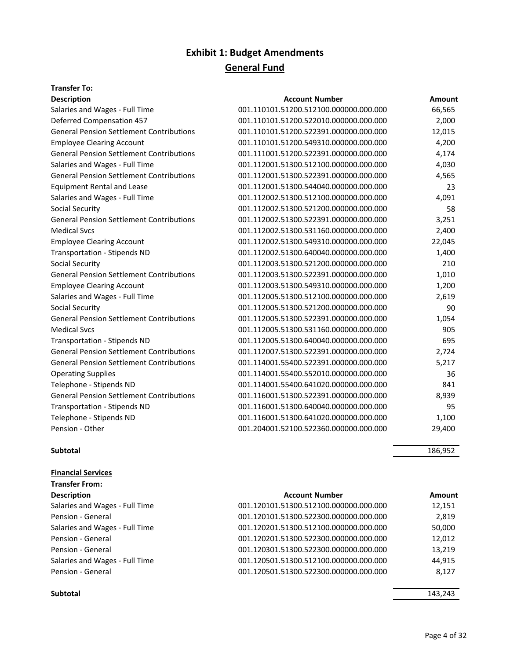### **Transfer To:**

| <b>Description</b>                              | <b>Account Number</b>                  | <b>Amount</b> |
|-------------------------------------------------|----------------------------------------|---------------|
| Salaries and Wages - Full Time                  | 001.110101.51200.512100.000000.000.000 | 66,565        |
| <b>Deferred Compensation 457</b>                | 001.110101.51200.522010.000000.000.000 | 2,000         |
| <b>General Pension Settlement Contributions</b> | 001.110101.51200.522391.000000.000.000 | 12,015        |
| <b>Employee Clearing Account</b>                | 001.110101.51200.549310.000000.000.000 | 4,200         |
| <b>General Pension Settlement Contributions</b> | 001.111001.51200.522391.000000.000.000 | 4,174         |
| Salaries and Wages - Full Time                  | 001.112001.51300.512100.000000.000.000 | 4,030         |
| <b>General Pension Settlement Contributions</b> | 001.112001.51300.522391.000000.000.000 | 4,565         |
| <b>Equipment Rental and Lease</b>               | 001.112001.51300.544040.000000.000.000 | 23            |
| Salaries and Wages - Full Time                  | 001.112002.51300.512100.000000.000.000 | 4,091         |
| <b>Social Security</b>                          | 001.112002.51300.521200.000000.000.000 | 58            |
| <b>General Pension Settlement Contributions</b> | 001.112002.51300.522391.000000.000.000 | 3,251         |
| <b>Medical Sycs</b>                             | 001.112002.51300.531160.000000.000.000 | 2,400         |
| <b>Employee Clearing Account</b>                | 001.112002.51300.549310.000000.000.000 | 22,045        |
| <b>Transportation - Stipends ND</b>             | 001.112002.51300.640040.000000.000.000 | 1,400         |
| <b>Social Security</b>                          | 001.112003.51300.521200.000000.000.000 | 210           |
| <b>General Pension Settlement Contributions</b> | 001.112003.51300.522391.000000.000.000 | 1,010         |
| <b>Employee Clearing Account</b>                | 001.112003.51300.549310.000000.000.000 | 1,200         |
| Salaries and Wages - Full Time                  | 001.112005.51300.512100.000000.000.000 | 2,619         |
| <b>Social Security</b>                          | 001.112005.51300.521200.000000.000.000 | 90            |
| <b>General Pension Settlement Contributions</b> | 001.112005.51300.522391.000000.000.000 | 1,054         |
| <b>Medical Svcs</b>                             | 001.112005.51300.531160.000000.000.000 | 905           |
| <b>Transportation - Stipends ND</b>             | 001.112005.51300.640040.000000.000.000 | 695           |
| <b>General Pension Settlement Contributions</b> | 001.112007.51300.522391.000000.000.000 | 2,724         |
| <b>General Pension Settlement Contributions</b> | 001.114001.55400.522391.000000.000.000 | 5,217         |
| <b>Operating Supplies</b>                       | 001.114001.55400.552010.000000.000.000 | 36            |
| Telephone - Stipends ND                         | 001.114001.55400.641020.000000.000.000 | 841           |
| <b>General Pension Settlement Contributions</b> | 001.116001.51300.522391.000000.000.000 | 8,939         |
| <b>Transportation - Stipends ND</b>             | 001.116001.51300.640040.000000.000.000 | 95            |
| Telephone - Stipends ND                         | 001.116001.51300.641020.000000.000.000 | 1,100         |
| Pension - Other                                 | 001.204001.52100.522360.000000.000.000 | 29,400        |
|                                                 |                                        |               |

#### **Subtotal** 186,952

**Financial Services**

| <b>Account Number</b>                  | Amount |
|----------------------------------------|--------|
| 001.120101.51300.512100.000000.000.000 | 12,151 |
| 001.120101.51300.522300.000000.000.000 | 2,819  |
| 001.120201.51300.512100.000000.000.000 | 50,000 |
| 001.120201.51300.522300.000000.000.000 | 12,012 |
| 001.120301.51300.522300.000000.000.000 | 13,219 |
| 001.120501.51300.512100.000000.000.000 | 44,915 |
| 001.120501.51300.522300.000000.000.000 | 8,127  |
|                                        |        |

#### **Subtotal** 143,243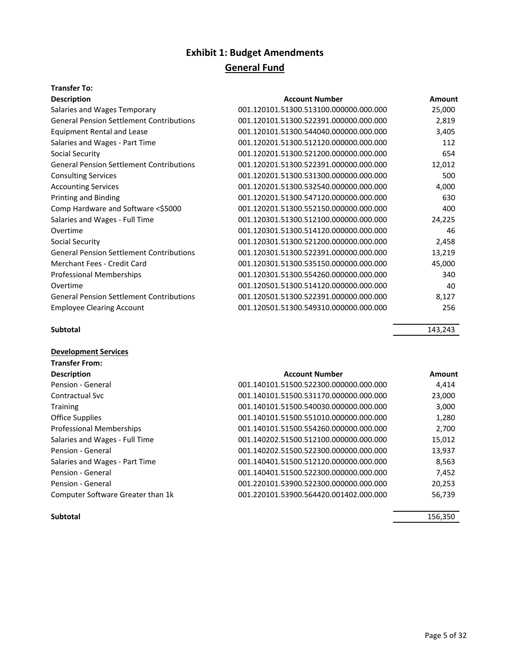#### **Transfer To:**

| <b>Description</b>                              | <b>Account Number</b>                  | Amount |
|-------------------------------------------------|----------------------------------------|--------|
| Salaries and Wages Temporary                    | 001.120101.51300.513100.000000.000.000 | 25,000 |
| <b>General Pension Settlement Contributions</b> | 001.120101.51300.522391.000000.000.000 | 2,819  |
| <b>Equipment Rental and Lease</b>               | 001.120101.51300.544040.000000.000.000 | 3,405  |
| Salaries and Wages - Part Time                  | 001.120201.51300.512120.000000.000.000 | 112    |
| Social Security                                 | 001.120201.51300.521200.000000.000.000 | 654    |
| <b>General Pension Settlement Contributions</b> | 001.120201.51300.522391.000000.000.000 | 12,012 |
| <b>Consulting Services</b>                      | 001.120201.51300.531300.000000.000.000 | 500    |
| <b>Accounting Services</b>                      | 001.120201.51300.532540.000000.000.000 | 4,000  |
| <b>Printing and Binding</b>                     | 001.120201.51300.547120.000000.000.000 | 630    |
| Comp Hardware and Software <\$5000              | 001.120201.51300.552150.000000.000.000 | 400    |
| Salaries and Wages - Full Time                  | 001.120301.51300.512100.000000.000.000 | 24,225 |
| Overtime                                        | 001.120301.51300.514120.000000.000.000 | 46     |
| Social Security                                 | 001.120301.51300.521200.000000.000.000 | 2,458  |
| <b>General Pension Settlement Contributions</b> | 001.120301.51300.522391.000000.000.000 | 13,219 |
| Merchant Fees - Credit Card                     | 001.120301.51300.535150.000000.000.000 | 45,000 |
| <b>Professional Memberships</b>                 | 001.120301.51300.554260.000000.000.000 | 340    |
| Overtime                                        | 001.120501.51300.514120.000000.000.000 | 40     |
| <b>General Pension Settlement Contributions</b> | 001.120501.51300.522391.000000.000.000 | 8,127  |
| <b>Employee Clearing Account</b>                | 001.120501.51300.549310.000000.000.000 | 256    |
|                                                 |                                        |        |

#### **Subtotal** 143,243

### **Development Services Transfer From: Description Account Number Amount Amount** Pension - General 2,414 and 201.140101.51500.522300.000000.000.000 4,414 Contractual Svc 001.140101.51500.531170.000000.000.000 23,000 Training 3,000 and 3,000 and 3,000 and 501.140101.51500.540030.000000.000.000 Office Supplies 001.140101.51500.551010.000000.000.000 1,280 Professional Memberships 001.140101.51500.554260.000000.000.000 2,700 Salaries and Wages - Full Time  $001.140202.51500.512100.000000.000.000$  15,012 Pension - General 2.937 Salaries and Wages - Part Time  $001.140401.51500.512120.000000.00000$  8,563 Pension - General 2,452 Pension - General 20,253 and 201.220101.53900.522300.000000.000.000 20,253 Computer Software Greater than 1k 001.220101.53900.564420.001402.000.000 56,739

#### **Subtotal** 156,350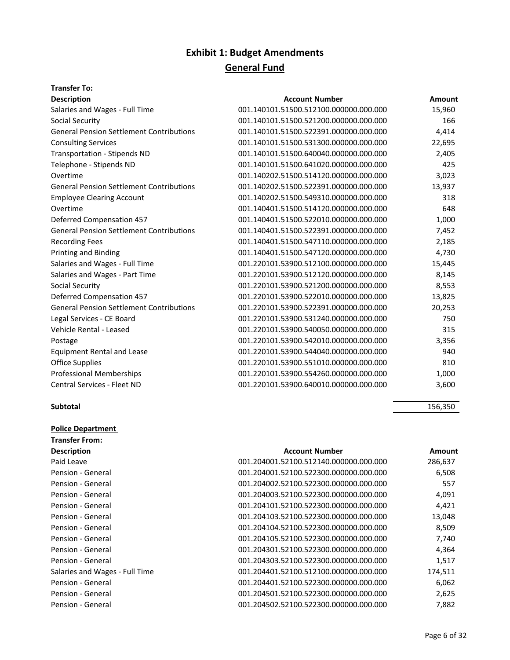### **Transfer To:**

| <b>Description</b>                              | <b>Account Number</b>                  | <b>Amount</b> |
|-------------------------------------------------|----------------------------------------|---------------|
| Salaries and Wages - Full Time                  | 001.140101.51500.512100.000000.000.000 | 15,960        |
| Social Security                                 | 001.140101.51500.521200.000000.000.000 | 166           |
| <b>General Pension Settlement Contributions</b> | 001.140101.51500.522391.000000.000.000 | 4,414         |
| <b>Consulting Services</b>                      | 001.140101.51500.531300.000000.000.000 | 22,695        |
| Transportation - Stipends ND                    | 001.140101.51500.640040.000000.000.000 | 2,405         |
| Telephone - Stipends ND                         | 001.140101.51500.641020.000000.000.000 | 425           |
| Overtime                                        | 001.140202.51500.514120.000000.000.000 | 3,023         |
| <b>General Pension Settlement Contributions</b> | 001.140202.51500.522391.000000.000.000 | 13,937        |
| <b>Employee Clearing Account</b>                | 001.140202.51500.549310.000000.000.000 | 318           |
| Overtime                                        | 001.140401.51500.514120.000000.000.000 | 648           |
| <b>Deferred Compensation 457</b>                | 001.140401.51500.522010.000000.000.000 | 1,000         |
| <b>General Pension Settlement Contributions</b> | 001.140401.51500.522391.000000.000.000 | 7,452         |
| <b>Recording Fees</b>                           | 001.140401.51500.547110.000000.000.000 | 2,185         |
| <b>Printing and Binding</b>                     | 001.140401.51500.547120.000000.000.000 | 4,730         |
| Salaries and Wages - Full Time                  | 001.220101.53900.512100.000000.000.000 | 15,445        |
| Salaries and Wages - Part Time                  | 001.220101.53900.512120.000000.000.000 | 8,145         |
| Social Security                                 | 001.220101.53900.521200.000000.000.000 | 8,553         |
| Deferred Compensation 457                       | 001.220101.53900.522010.000000.000.000 | 13,825        |
| <b>General Pension Settlement Contributions</b> | 001.220101.53900.522391.000000.000.000 | 20,253        |
| Legal Services - CE Board                       | 001.220101.53900.531240.000000.000.000 | 750           |
| Vehicle Rental - Leased                         | 001.220101.53900.540050.000000.000.000 | 315           |
| Postage                                         | 001.220101.53900.542010.000000.000.000 | 3,356         |
| <b>Equipment Rental and Lease</b>               | 001.220101.53900.544040.000000.000.000 | 940           |
| <b>Office Supplies</b>                          | 001.220101.53900.551010.000000.000.000 | 810           |
| <b>Professional Memberships</b>                 | 001.220101.53900.554260.000000.000.000 | 1,000         |
| <b>Central Services - Fleet ND</b>              | 001.220101.53900.640010.000000.000.000 | 3,600         |
|                                                 |                                        |               |

#### **Subtotal** 156,350

**Police Department**

| <b>Transfer From:</b>          |                                        |         |
|--------------------------------|----------------------------------------|---------|
| <b>Description</b>             | <b>Account Number</b>                  | Amount  |
| Paid Leave                     | 001.204001.52100.512140.000000.000.000 | 286,637 |
| Pension - General              | 001.204001.52100.522300.000000.000.000 | 6,508   |
| Pension - General              | 001.204002.52100.522300.000000.000.000 | 557     |
| Pension - General              | 001.204003.52100.522300.000000.000.000 | 4,091   |
| Pension - General              | 001.204101.52100.522300.000000.000.000 | 4,421   |
| Pension - General              | 001.204103.52100.522300.000000.000.000 | 13,048  |
| Pension - General              | 001.204104.52100.522300.000000.000.000 | 8,509   |
| Pension - General              | 001.204105.52100.522300.000000.000.000 | 7,740   |
| Pension - General              | 001.204301.52100.522300.000000.000.000 | 4,364   |
| Pension - General              | 001.204303.52100.522300.000000.000.000 | 1,517   |
| Salaries and Wages - Full Time | 001.204401.52100.512100.000000.000.000 | 174,511 |
| Pension - General              | 001.204401.52100.522300.000000.000.000 | 6,062   |
| Pension - General              | 001.204501.52100.522300.000000.000.000 | 2,625   |
| Pension - General              | 001.204502.52100.522300.000000.000.000 | 7,882   |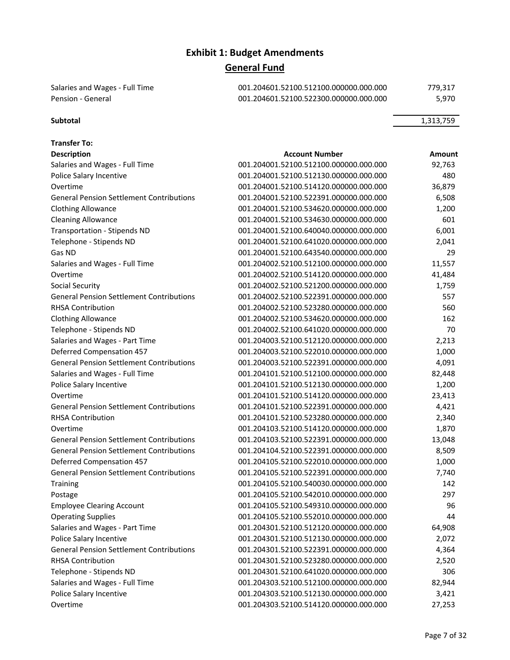| Salaries and Wages - Full Time | 001.204601.52100.512100.000000.000.000 | 779.317 |
|--------------------------------|----------------------------------------|---------|
| Pension - General              | 001.204601.52100.522300.000000.000.000 | 5.970   |

#### **Subtotal** 1,313,759

| <b>Transfer To:</b>                             |                                        |        |
|-------------------------------------------------|----------------------------------------|--------|
| <b>Description</b>                              | <b>Account Number</b>                  | Amount |
| Salaries and Wages - Full Time                  | 001.204001.52100.512100.000000.000.000 | 92,763 |
| Police Salary Incentive                         | 001.204001.52100.512130.000000.000.000 | 480    |
| Overtime                                        | 001.204001.52100.514120.000000.000.000 | 36,879 |
| <b>General Pension Settlement Contributions</b> | 001.204001.52100.522391.000000.000.000 | 6,508  |
| <b>Clothing Allowance</b>                       | 001.204001.52100.534620.000000.000.000 | 1,200  |
| <b>Cleaning Allowance</b>                       | 001.204001.52100.534630.000000.000.000 | 601    |
| <b>Transportation - Stipends ND</b>             | 001.204001.52100.640040.000000.000.000 | 6,001  |
| Telephone - Stipends ND                         | 001.204001.52100.641020.000000.000.000 | 2,041  |
| Gas ND                                          | 001.204001.52100.643540.000000.000.000 | 29     |
| Salaries and Wages - Full Time                  | 001.204002.52100.512100.000000.000.000 | 11,557 |
| Overtime                                        | 001.204002.52100.514120.000000.000.000 | 41,484 |
| Social Security                                 | 001.204002.52100.521200.000000.000.000 | 1,759  |
| <b>General Pension Settlement Contributions</b> | 001.204002.52100.522391.000000.000.000 | 557    |
| <b>RHSA Contribution</b>                        | 001.204002.52100.523280.000000.000.000 | 560    |
| <b>Clothing Allowance</b>                       | 001.204002.52100.534620.000000.000.000 | 162    |
| Telephone - Stipends ND                         | 001.204002.52100.641020.000000.000.000 | 70     |
| Salaries and Wages - Part Time                  | 001.204003.52100.512120.000000.000.000 | 2,213  |
| <b>Deferred Compensation 457</b>                | 001.204003.52100.522010.000000.000.000 | 1,000  |
| <b>General Pension Settlement Contributions</b> | 001.204003.52100.522391.000000.000.000 | 4,091  |
| Salaries and Wages - Full Time                  | 001.204101.52100.512100.000000.000.000 | 82,448 |
| Police Salary Incentive                         | 001.204101.52100.512130.000000.000.000 | 1,200  |
| Overtime                                        | 001.204101.52100.514120.000000.000.000 | 23,413 |
| <b>General Pension Settlement Contributions</b> | 001.204101.52100.522391.000000.000.000 | 4,421  |
| <b>RHSA Contribution</b>                        | 001.204101.52100.523280.000000.000.000 | 2,340  |
| Overtime                                        | 001.204103.52100.514120.000000.000.000 | 1,870  |
| <b>General Pension Settlement Contributions</b> | 001.204103.52100.522391.000000.000.000 | 13,048 |
| <b>General Pension Settlement Contributions</b> | 001.204104.52100.522391.000000.000.000 | 8,509  |
| <b>Deferred Compensation 457</b>                | 001.204105.52100.522010.000000.000.000 | 1,000  |
| <b>General Pension Settlement Contributions</b> | 001.204105.52100.522391.000000.000.000 | 7,740  |
| <b>Training</b>                                 | 001.204105.52100.540030.000000.000.000 | 142    |
| Postage                                         | 001.204105.52100.542010.000000.000.000 | 297    |
| <b>Employee Clearing Account</b>                | 001.204105.52100.549310.000000.000.000 | 96     |
| <b>Operating Supplies</b>                       | 001.204105.52100.552010.000000.000.000 | 44     |
| Salaries and Wages - Part Time                  | 001.204301.52100.512120.000000.000.000 | 64,908 |
| Police Salary Incentive                         | 001.204301.52100.512130.000000.000.000 | 2,072  |
| <b>General Pension Settlement Contributions</b> | 001.204301.52100.522391.000000.000.000 | 4,364  |
| <b>RHSA Contribution</b>                        | 001.204301.52100.523280.000000.000.000 | 2,520  |
| Telephone - Stipends ND                         | 001.204301.52100.641020.000000.000.000 | 306    |
| Salaries and Wages - Full Time                  | 001.204303.52100.512100.000000.000.000 | 82,944 |
| Police Salary Incentive                         | 001.204303.52100.512130.000000.000.000 | 3,421  |
| Overtime                                        | 001.204303.52100.514120.000000.000.000 | 27,253 |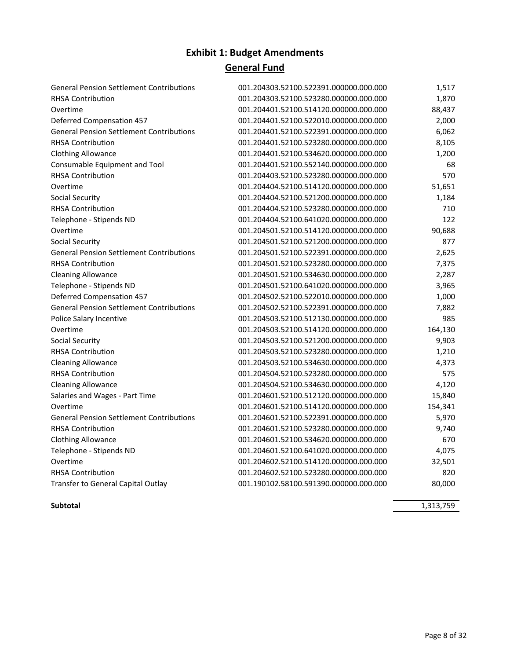| <b>General Pension Settlement Contributions</b> | 001.204303.52100.522391.000000.000.000 | 1,517   |
|-------------------------------------------------|----------------------------------------|---------|
| <b>RHSA Contribution</b>                        | 001.204303.52100.523280.000000.000.000 | 1,870   |
| Overtime                                        | 001.204401.52100.514120.000000.000.000 | 88,437  |
| <b>Deferred Compensation 457</b>                | 001.204401.52100.522010.000000.000.000 | 2,000   |
| <b>General Pension Settlement Contributions</b> | 001.204401.52100.522391.000000.000.000 | 6,062   |
| <b>RHSA Contribution</b>                        | 001.204401.52100.523280.000000.000.000 | 8,105   |
| <b>Clothing Allowance</b>                       | 001.204401.52100.534620.000000.000.000 | 1,200   |
| Consumable Equipment and Tool                   | 001.204401.52100.552140.000000.000.000 | 68      |
| <b>RHSA Contribution</b>                        | 001.204403.52100.523280.000000.000.000 | 570     |
| Overtime                                        | 001.204404.52100.514120.000000.000.000 | 51,651  |
| Social Security                                 | 001.204404.52100.521200.000000.000.000 | 1,184   |
| <b>RHSA Contribution</b>                        | 001.204404.52100.523280.000000.000.000 | 710     |
| Telephone - Stipends ND                         | 001.204404.52100.641020.000000.000.000 | 122     |
| Overtime                                        | 001.204501.52100.514120.000000.000.000 | 90,688  |
| <b>Social Security</b>                          | 001.204501.52100.521200.000000.000.000 | 877     |
| <b>General Pension Settlement Contributions</b> | 001.204501.52100.522391.000000.000.000 | 2,625   |
| <b>RHSA Contribution</b>                        | 001.204501.52100.523280.000000.000.000 | 7,375   |
| <b>Cleaning Allowance</b>                       | 001.204501.52100.534630.000000.000.000 | 2,287   |
| Telephone - Stipends ND                         | 001.204501.52100.641020.000000.000.000 | 3,965   |
| <b>Deferred Compensation 457</b>                | 001.204502.52100.522010.000000.000.000 | 1,000   |
| <b>General Pension Settlement Contributions</b> | 001.204502.52100.522391.000000.000.000 | 7,882   |
| Police Salary Incentive                         | 001.204503.52100.512130.000000.000.000 | 985     |
| Overtime                                        | 001.204503.52100.514120.000000.000.000 | 164,130 |
| <b>Social Security</b>                          | 001.204503.52100.521200.000000.000.000 | 9,903   |
| <b>RHSA Contribution</b>                        | 001.204503.52100.523280.000000.000.000 | 1,210   |
| <b>Cleaning Allowance</b>                       | 001.204503.52100.534630.000000.000.000 | 4,373   |
| <b>RHSA Contribution</b>                        | 001.204504.52100.523280.000000.000.000 | 575     |
| <b>Cleaning Allowance</b>                       | 001.204504.52100.534630.000000.000.000 | 4,120   |
| Salaries and Wages - Part Time                  | 001.204601.52100.512120.000000.000.000 | 15,840  |
| Overtime                                        | 001.204601.52100.514120.000000.000.000 | 154,341 |
| <b>General Pension Settlement Contributions</b> | 001.204601.52100.522391.000000.000.000 | 5,970   |
| <b>RHSA Contribution</b>                        | 001.204601.52100.523280.000000.000.000 | 9,740   |
| <b>Clothing Allowance</b>                       | 001.204601.52100.534620.000000.000.000 | 670     |
| Telephone - Stipends ND                         | 001.204601.52100.641020.000000.000.000 | 4,075   |
| Overtime                                        | 001.204602.52100.514120.000000.000.000 | 32,501  |
| <b>RHSA Contribution</b>                        | 001.204602.52100.523280.000000.000.000 | 820     |
| Transfer to General Capital Outlay              | 001.190102.58100.591390.000000.000.000 | 80,000  |
|                                                 |                                        |         |

**Subtotal** 1,313,759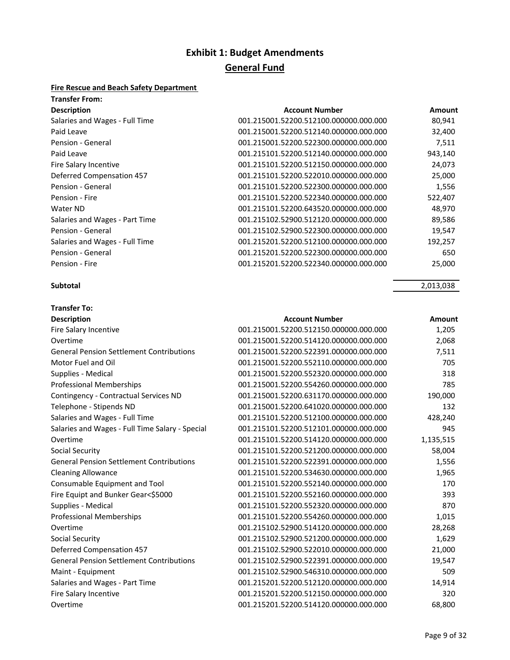### **Fire Rescue and Beach Safety Department**

| <b>Transfer From:</b>            |                                        |         |
|----------------------------------|----------------------------------------|---------|
| <b>Description</b>               | <b>Account Number</b>                  | Amount  |
| Salaries and Wages - Full Time   | 001.215001.52200.512100.000000.000.000 | 80,941  |
| Paid Leave                       | 001.215001.52200.512140.000000.000.000 | 32,400  |
| Pension - General                | 001.215001.52200.522300.000000.000.000 | 7,511   |
| Paid Leave                       | 001.215101.52200.512140.000000.000.000 | 943,140 |
| Fire Salary Incentive            | 001.215101.52200.512150.000000.000.000 | 24,073  |
| <b>Deferred Compensation 457</b> | 001.215101.52200.522010.000000.000.000 | 25,000  |
| Pension - General                | 001.215101.52200.522300.000000.000.000 | 1,556   |
| Pension - Fire                   | 001.215101.52200.522340.000000.000.000 | 522,407 |
| Water ND                         | 001.215101.52200.643520.000000.000.000 | 48,970  |
| Salaries and Wages - Part Time   | 001.215102.52900.512120.000000.000.000 | 89,586  |
| Pension - General                | 001.215102.52900.522300.000000.000.000 | 19,547  |
| Salaries and Wages - Full Time   | 001.215201.52200.512100.000000.000.000 | 192,257 |
| Pension - General                | 001.215201.52200.522300.000000.000.000 | 650     |
| Pension - Fire                   | 001.215201.52200.522340.000000.000.000 | 25,000  |

#### **Subtotal** 2,013,038

| <b>Transfer To:</b>                             |                                        |           |
|-------------------------------------------------|----------------------------------------|-----------|
| <b>Description</b>                              | <b>Account Number</b>                  | Amount    |
| Fire Salary Incentive                           | 001.215001.52200.512150.000000.000.000 | 1,205     |
| Overtime                                        | 001.215001.52200.514120.000000.000.000 | 2,068     |
| <b>General Pension Settlement Contributions</b> | 001.215001.52200.522391.000000.000.000 | 7,511     |
| Motor Fuel and Oil                              | 001.215001.52200.552110.000000.000.000 | 705       |
| Supplies - Medical                              | 001.215001.52200.552320.000000.000.000 | 318       |
| <b>Professional Memberships</b>                 | 001.215001.52200.554260.000000.000.000 | 785       |
| Contingency - Contractual Services ND           | 001.215001.52200.631170.000000.000.000 | 190,000   |
| Telephone - Stipends ND                         | 001.215001.52200.641020.000000.000.000 | 132       |
| Salaries and Wages - Full Time                  | 001.215101.52200.512100.000000.000.000 | 428,240   |
| Salaries and Wages - Full Time Salary - Special | 001.215101.52200.512101.000000.000.000 | 945       |
| Overtime                                        | 001.215101.52200.514120.000000.000.000 | 1,135,515 |
| <b>Social Security</b>                          | 001.215101.52200.521200.000000.000.000 | 58,004    |
| <b>General Pension Settlement Contributions</b> | 001.215101.52200.522391.000000.000.000 | 1,556     |
| <b>Cleaning Allowance</b>                       | 001.215101.52200.534630.000000.000.000 | 1,965     |
| Consumable Equipment and Tool                   | 001.215101.52200.552140.000000.000.000 | 170       |
| Fire Equipt and Bunker Gear<\$5000              | 001.215101.52200.552160.000000.000.000 | 393       |
| Supplies - Medical                              | 001.215101.52200.552320.000000.000.000 | 870       |
| <b>Professional Memberships</b>                 | 001.215101.52200.554260.000000.000.000 | 1,015     |
| Overtime                                        | 001.215102.52900.514120.000000.000.000 | 28,268    |
| Social Security                                 | 001.215102.52900.521200.000000.000.000 | 1,629     |
| <b>Deferred Compensation 457</b>                | 001.215102.52900.522010.000000.000.000 | 21,000    |
| <b>General Pension Settlement Contributions</b> | 001.215102.52900.522391.000000.000.000 | 19,547    |
| Maint - Equipment                               | 001.215102.52900.546310.000000.000.000 | 509       |
| Salaries and Wages - Part Time                  | 001.215201.52200.512120.000000.000.000 | 14,914    |
| Fire Salary Incentive                           | 001.215201.52200.512150.000000.000.000 | 320       |
| Overtime                                        | 001.215201.52200.514120.000000.000.000 | 68,800    |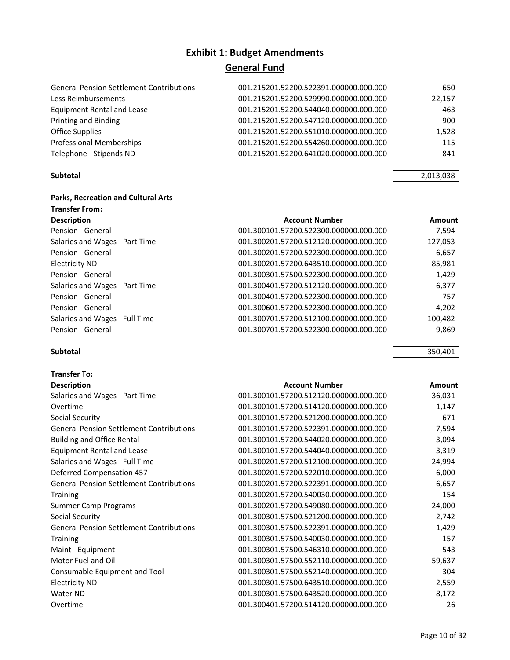| <b>General Pension Settlement Contributions</b> | 001.215201.52200.522391.000000.000.000 | 650    |
|-------------------------------------------------|----------------------------------------|--------|
| Less Reimbursements                             | 001.215201.52200.529990.000000.000.000 | 22,157 |
| <b>Equipment Rental and Lease</b>               | 001.215201.52200.544040.000000.000.000 | 463    |
| Printing and Binding                            | 001.215201.52200.547120.000000.000.000 | 900    |
| Office Supplies                                 | 001.215201.52200.551010.000000.000.000 | 1,528  |
| Professional Memberships                        | 001.215201.52200.554260.000000.000.000 | 115    |
| Telephone - Stipends ND                         | 001.215201.52200.641020.000000.000.000 | 841    |

### **Parks, Recreation and Cultural Arts**

| <b>Transfer From:</b>          |                                        |         |
|--------------------------------|----------------------------------------|---------|
| <b>Description</b>             | <b>Account Number</b>                  | Amount  |
| Pension - General              | 001.300101.57200.522300.000000.000.000 | 7.594   |
| Salaries and Wages - Part Time | 001.300201.57200.512120.000000.000.000 | 127,053 |
| Pension - General              | 001.300201.57200.522300.000000.000.000 | 6,657   |
| Electricity ND                 | 001.300201.57200.643510.000000.000.000 | 85,981  |
| Pension - General              | 001.300301.57500.522300.000000.000.000 | 1,429   |
| Salaries and Wages - Part Time | 001.300401.57200.512120.000000.000.000 | 6.377   |
| Pension - General              | 001.300401.57200.522300.000000.000.000 | 757     |
| Pension - General              | 001.300601.57200.522300.000000.000.000 | 4,202   |
| Salaries and Wages - Full Time | 001.300701.57200.512100.000000.000.000 | 100,482 |
| Pension - General              | 001.300701.57200.522300.000000.000.000 | 9,869   |

#### **Subtotal** 350,401

| <b>Transfer To:</b>                             |                                        |        |
|-------------------------------------------------|----------------------------------------|--------|
| <b>Description</b>                              | <b>Account Number</b>                  | Amount |
| Salaries and Wages - Part Time                  | 001.300101.57200.512120.000000.000.000 | 36,031 |
| Overtime                                        | 001.300101.57200.514120.000000.000.000 | 1,147  |
| Social Security                                 | 001.300101.57200.521200.000000.000.000 | 671    |
| <b>General Pension Settlement Contributions</b> | 001.300101.57200.522391.000000.000.000 | 7,594  |
| <b>Building and Office Rental</b>               | 001.300101.57200.544020.000000.000.000 | 3,094  |
| <b>Equipment Rental and Lease</b>               | 001.300101.57200.544040.000000.000.000 | 3,319  |
| Salaries and Wages - Full Time                  | 001.300201.57200.512100.000000.000.000 | 24,994 |
| <b>Deferred Compensation 457</b>                | 001.300201.57200.522010.000000.000.000 | 6,000  |
| <b>General Pension Settlement Contributions</b> | 001.300201.57200.522391.000000.000.000 | 6,657  |
| <b>Training</b>                                 | 001.300201.57200.540030.000000.000.000 | 154    |
| <b>Summer Camp Programs</b>                     | 001.300201.57200.549080.000000.000.000 | 24,000 |
| Social Security                                 | 001.300301.57500.521200.000000.000.000 | 2,742  |
| <b>General Pension Settlement Contributions</b> | 001.300301.57500.522391.000000.000.000 | 1,429  |
| <b>Training</b>                                 | 001.300301.57500.540030.000000.000.000 | 157    |
| Maint - Equipment                               | 001.300301.57500.546310.000000.000.000 | 543    |
| Motor Fuel and Oil                              | 001.300301.57500.552110.000000.000.000 | 59,637 |
| Consumable Equipment and Tool                   | 001.300301.57500.552140.000000.000.000 | 304    |
| <b>Electricity ND</b>                           | 001.300301.57500.643510.000000.000.000 | 2,559  |
| Water ND                                        | 001.300301.57500.643520.000000.000.000 | 8,172  |
| Overtime                                        | 001.300401.57200.514120.000000.000.000 | 26     |

#### **Subtotal** 2,013,038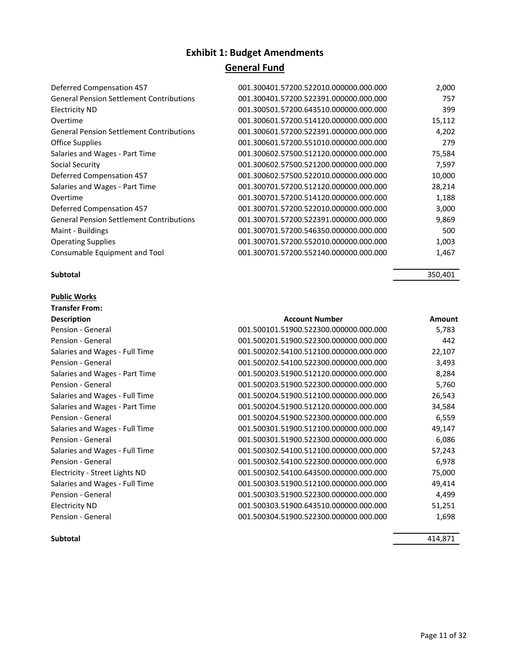| Deferred Compensation 457                       | 001.300401.57200.522010.000000.000.000 | 2,000  |
|-------------------------------------------------|----------------------------------------|--------|
| <b>General Pension Settlement Contributions</b> | 001.300401.57200.522391.000000.000.000 | 757    |
| <b>Electricity ND</b>                           | 001.300501.57200.643510.000000.000.000 | 399    |
| Overtime                                        | 001.300601.57200.514120.000000.000.000 | 15,112 |
| <b>General Pension Settlement Contributions</b> | 001.300601.57200.522391.000000.000.000 | 4,202  |
| <b>Office Supplies</b>                          | 001.300601.57200.551010.000000.000.000 | 279    |
| Salaries and Wages - Part Time                  | 001.300602.57500.512120.000000.000.000 | 75,584 |
| Social Security                                 | 001.300602.57500.521200.000000.000.000 | 7,597  |
| Deferred Compensation 457                       | 001.300602.57500.522010.000000.000.000 | 10,000 |
| Salaries and Wages - Part Time                  | 001.300701.57200.512120.000000.000.000 | 28,214 |
| Overtime                                        | 001.300701.57200.514120.000000.000.000 | 1,188  |
| Deferred Compensation 457                       | 001.300701.57200.522010.000000.000.000 | 3,000  |
| <b>General Pension Settlement Contributions</b> | 001.300701.57200.522391.000000.000.000 | 9,869  |
| Maint - Buildings                               | 001.300701.57200.546350.000000.000.000 | 500    |
| <b>Operating Supplies</b>                       | 001.300701.57200.552010.000000.000.000 | 1,003  |
| Consumable Equipment and Tool                   | 001.300701.57200.552140.000000.000.000 | 1,467  |
|                                                 |                                        |        |

#### **Subtotal** 350,401

**Public Works**

| <b>Transfer From:</b>          |                                        |        |
|--------------------------------|----------------------------------------|--------|
| <b>Description</b>             | <b>Account Number</b>                  | Amount |
| Pension - General              | 001.500101.51900.522300.000000.000.000 | 5,783  |
| Pension - General              | 001.500201.51900.522300.000000.000.000 | 442    |
| Salaries and Wages - Full Time | 001.500202.54100.512100.000000.000.000 | 22,107 |
| Pension - General              | 001.500202.54100.522300.000000.000.000 | 3,493  |
| Salaries and Wages - Part Time | 001.500203.51900.512120.000000.000.000 | 8,284  |
| Pension - General              | 001.500203.51900.522300.000000.000.000 | 5,760  |
| Salaries and Wages - Full Time | 001.500204.51900.512100.000000.000.000 | 26,543 |
| Salaries and Wages - Part Time | 001.500204.51900.512120.000000.000.000 | 34,584 |
| Pension - General              | 001.500204.51900.522300.000000.000.000 | 6,559  |
| Salaries and Wages - Full Time | 001.500301.51900.512100.000000.000.000 | 49,147 |
| Pension - General              | 001.500301.51900.522300.000000.000.000 | 6,086  |
| Salaries and Wages - Full Time | 001.500302.54100.512100.000000.000.000 | 57,243 |
| Pension - General              | 001.500302.54100.522300.000000.000.000 | 6,978  |
| Electricity - Street Lights ND | 001.500302.54100.643500.000000.000.000 | 75,000 |
| Salaries and Wages - Full Time | 001.500303.51900.512100.000000.000.000 | 49,414 |
| Pension - General              | 001.500303.51900.522300.000000.000.000 | 4,499  |
| <b>Electricity ND</b>          | 001.500303.51900.643510.000000.000.000 | 51,251 |
| Pension - General              | 001.500304.51900.522300.000000.000.000 | 1,698  |

**Subtotal** 414,871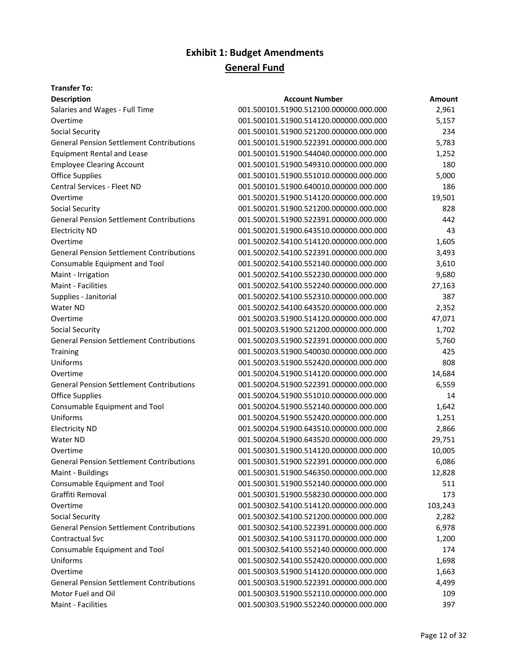### **Transfer To:**

| <b>Description</b>                              | <b>Account Number</b>                  | Amount  |
|-------------------------------------------------|----------------------------------------|---------|
| Salaries and Wages - Full Time                  | 001.500101.51900.512100.000000.000.000 | 2,961   |
| Overtime                                        | 001.500101.51900.514120.000000.000.000 | 5,157   |
| <b>Social Security</b>                          | 001.500101.51900.521200.000000.000.000 | 234     |
| <b>General Pension Settlement Contributions</b> | 001.500101.51900.522391.000000.000.000 | 5,783   |
| <b>Equipment Rental and Lease</b>               | 001.500101.51900.544040.000000.000.000 | 1,252   |
| <b>Employee Clearing Account</b>                | 001.500101.51900.549310.000000.000.000 | 180     |
| <b>Office Supplies</b>                          | 001.500101.51900.551010.000000.000.000 | 5,000   |
| Central Services - Fleet ND                     | 001.500101.51900.640010.000000.000.000 | 186     |
| Overtime                                        | 001.500201.51900.514120.000000.000.000 | 19,501  |
| Social Security                                 | 001.500201.51900.521200.000000.000.000 | 828     |
| <b>General Pension Settlement Contributions</b> | 001.500201.51900.522391.000000.000.000 | 442     |
| <b>Electricity ND</b>                           | 001.500201.51900.643510.000000.000.000 | 43      |
| Overtime                                        | 001.500202.54100.514120.000000.000.000 | 1,605   |
| <b>General Pension Settlement Contributions</b> | 001.500202.54100.522391.000000.000.000 | 3,493   |
| Consumable Equipment and Tool                   | 001.500202.54100.552140.000000.000.000 | 3,610   |
| Maint - Irrigation                              | 001.500202.54100.552230.000000.000.000 | 9,680   |
| <b>Maint - Facilities</b>                       | 001.500202.54100.552240.000000.000.000 | 27,163  |
| Supplies - Janitorial                           | 001.500202.54100.552310.000000.000.000 | 387     |
| Water ND                                        | 001.500202.54100.643520.000000.000.000 | 2,352   |
| Overtime                                        | 001.500203.51900.514120.000000.000.000 | 47,071  |
| Social Security                                 | 001.500203.51900.521200.000000.000.000 | 1,702   |
| <b>General Pension Settlement Contributions</b> | 001.500203.51900.522391.000000.000.000 | 5,760   |
| Training                                        | 001.500203.51900.540030.000000.000.000 | 425     |
| Uniforms                                        | 001.500203.51900.552420.000000.000.000 | 808     |
| Overtime                                        | 001.500204.51900.514120.000000.000.000 | 14,684  |
| <b>General Pension Settlement Contributions</b> | 001.500204.51900.522391.000000.000.000 | 6,559   |
| <b>Office Supplies</b>                          | 001.500204.51900.551010.000000.000.000 | 14      |
| Consumable Equipment and Tool                   | 001.500204.51900.552140.000000.000.000 | 1,642   |
| Uniforms                                        | 001.500204.51900.552420.000000.000.000 | 1,251   |
| <b>Electricity ND</b>                           | 001.500204.51900.643510.000000.000.000 | 2,866   |
| Water ND                                        | 001.500204.51900.643520.000000.000.000 | 29,751  |
| Overtime                                        | 001.500301.51900.514120.000000.000.000 | 10,005  |
| <b>General Pension Settlement Contributions</b> | 001.500301.51900.522391.000000.000.000 | 6,086   |
| Maint - Buildings                               | 001.500301.51900.546350.000000.000.000 | 12,828  |
| Consumable Equipment and Tool                   | 001.500301.51900.552140.000000.000.000 | 511     |
| Graffiti Removal                                | 001.500301.51900.558230.000000.000.000 | 173     |
| Overtime                                        | 001.500302.54100.514120.000000.000.000 | 103,243 |
| Social Security                                 | 001.500302.54100.521200.000000.000.000 | 2,282   |
| <b>General Pension Settlement Contributions</b> | 001.500302.54100.522391.000000.000.000 | 6,978   |
| Contractual Svc                                 | 001.500302.54100.531170.000000.000.000 | 1,200   |
| Consumable Equipment and Tool                   | 001.500302.54100.552140.000000.000.000 | 174     |
| Uniforms                                        | 001.500302.54100.552420.000000.000.000 | 1,698   |
| Overtime                                        | 001.500303.51900.514120.000000.000.000 | 1,663   |
| <b>General Pension Settlement Contributions</b> | 001.500303.51900.522391.000000.000.000 | 4,499   |
| Motor Fuel and Oil                              | 001.500303.51900.552110.000000.000.000 | 109     |
| Maint - Facilities                              | 001.500303.51900.552240.000000.000.000 | 397     |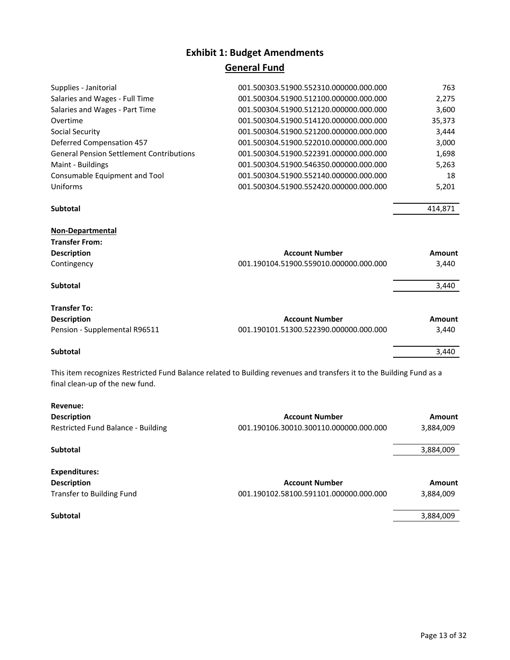# **Exhibit 1: Budget Amendments**

## **General Fund**

| 001.500303.51900.552310.000000.000.000 | 763           |
|----------------------------------------|---------------|
| 001.500304.51900.512100.000000.000.000 | 2,275         |
| 001.500304.51900.512120.000000.000.000 | 3,600         |
| 001.500304.51900.514120.000000.000.000 | 35,373        |
| 001.500304.51900.521200.000000.000.000 | 3,444         |
| 001.500304.51900.522010.000000.000.000 | 3,000         |
| 001.500304.51900.522391.000000.000.000 | 1,698         |
| 001.500304.51900.546350.000000.000.000 | 5,263         |
| 001.500304.51900.552140.000000.000.000 | 18            |
| 001.500304.51900.552420.000000.000.000 | 5,201         |
|                                        | 414,871       |
|                                        |               |
|                                        |               |
| <b>Account Number</b>                  | Amount        |
| 001.190104.51900.559010.000000.000.000 | 3,440         |
|                                        | 3,440         |
|                                        |               |
| <b>Account Number</b>                  | <b>Amount</b> |
| 001.190101.51300.522390.000000.000.000 | 3,440         |
|                                        | 3,440         |
|                                        |               |

This item recognizes Restricted Fund Balance related to Building revenues and transfers it to the Building Fund as a final clean‐up of the new fund.

| Revenue:<br><b>Description</b><br>Restricted Fund Balance - Building | <b>Account Number</b><br>001.190106.30010.300110.000000.000.000 | Amount<br>3,884,009 |
|----------------------------------------------------------------------|-----------------------------------------------------------------|---------------------|
| Subtotal                                                             |                                                                 | 3,884,009           |
| <b>Expenditures:</b>                                                 |                                                                 |                     |
| <b>Description</b>                                                   | <b>Account Number</b>                                           | Amount              |
| Transfer to Building Fund                                            | 001.190102.58100.591101.000000.000.000                          | 3,884,009           |
| Subtotal                                                             |                                                                 | 3,884,009           |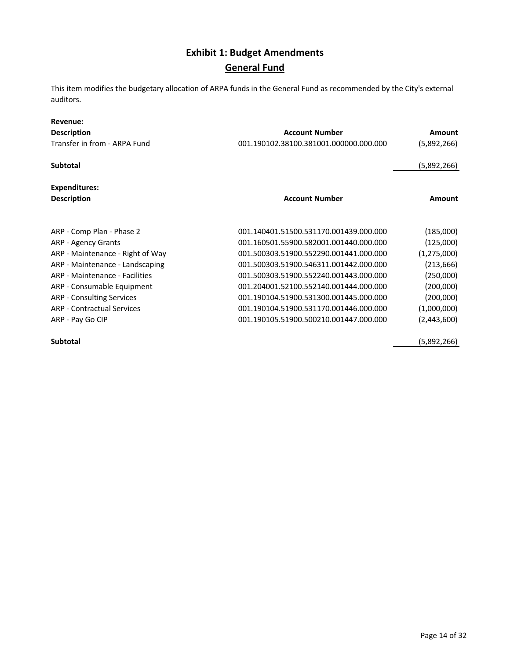This item modifies the budgetary allocation of ARPA funds in the General Fund as recommended by the City's external auditors.

| Revenue:                          |                                        |             |
|-----------------------------------|----------------------------------------|-------------|
| <b>Description</b>                | <b>Account Number</b>                  | Amount      |
| Transfer in from - ARPA Fund      | 001.190102.38100.381001.000000.000.000 | (5,892,266) |
| <b>Subtotal</b>                   |                                        | (5,892,266) |
| Expenditures:                     |                                        |             |
| <b>Description</b>                | <b>Account Number</b>                  | Amount      |
|                                   |                                        |             |
| ARP - Comp Plan - Phase 2         | 001.140401.51500.531170.001439.000.000 | (185,000)   |
| <b>ARP - Agency Grants</b>        | 001.160501.55900.582001.001440.000.000 | (125,000)   |
| ARP - Maintenance - Right of Way  | 001.500303.51900.552290.001441.000.000 | (1,275,000) |
| ARP - Maintenance - Landscaping   | 001.500303.51900.546311.001442.000.000 | (213, 666)  |
| ARP - Maintenance - Facilities    | 001.500303.51900.552240.001443.000.000 | (250,000)   |
| ARP - Consumable Equipment        | 001.204001.52100.552140.001444.000.000 | (200,000)   |
| ARP - Consulting Services         | 001.190104.51900.531300.001445.000.000 | (200,000)   |
| <b>ARP - Contractual Services</b> | 001.190104.51900.531170.001446.000.000 | (1,000,000) |
| ARP - Pay Go CIP                  | 001.190105.51900.500210.001447.000.000 | (2,443,600) |
| <b>Subtotal</b>                   |                                        | (5,892,266) |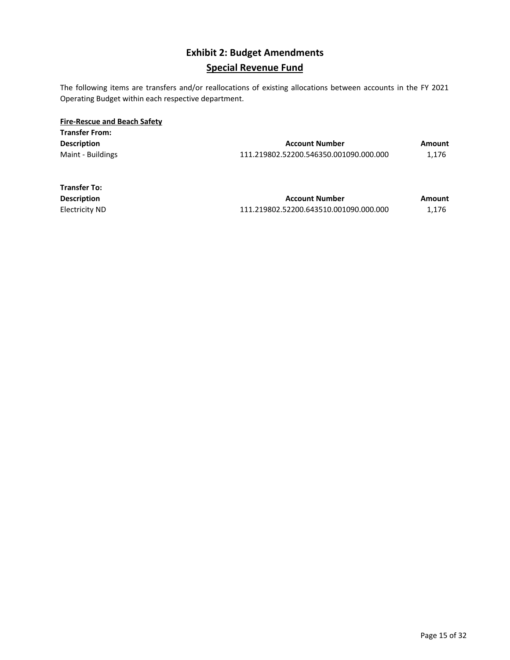### **Exhibit 2: Budget Amendments Special Revenue Fund**

The following items are transfers and/or reallocations of existing allocations between accounts in the FY 2021 Operating Budget within each respective department.

| <b>Fire-Rescue and Beach Safety</b> |                                        |        |
|-------------------------------------|----------------------------------------|--------|
| <b>Transfer From:</b>               |                                        |        |
| <b>Description</b>                  | <b>Account Number</b>                  | Amount |
| Maint - Buildings                   | 111.219802.52200.546350.001090.000.000 | 1.176  |

| <b>Transfer To:</b> |                                        |        |
|---------------------|----------------------------------------|--------|
| <b>Description</b>  | <b>Account Number</b>                  | Amount |
| Electricity ND      | 111.219802.52200.643510.001090.000.000 | 1.176  |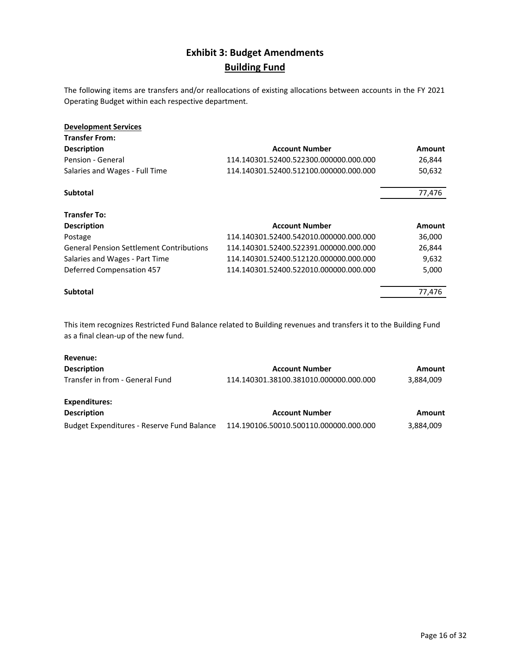### **Exhibit 3: Budget Amendments Building Fund**

The following items are transfers and/or reallocations of existing allocations between accounts in the FY 2021 Operating Budget within each respective department.

| <b>Development Services</b>                     |                                        |               |
|-------------------------------------------------|----------------------------------------|---------------|
| <b>Transfer From:</b>                           |                                        |               |
| <b>Description</b>                              | <b>Account Number</b>                  | <b>Amount</b> |
| Pension - General                               | 114.140301.52400.522300.000000.000.000 | 26,844        |
| Salaries and Wages - Full Time                  | 114.140301.52400.512100.000000.000.000 | 50,632        |
| Subtotal                                        |                                        | 77,476        |
| <b>Transfer To:</b>                             |                                        |               |
| <b>Description</b>                              | <b>Account Number</b>                  | <b>Amount</b> |
| Postage                                         | 114.140301.52400.542010.000000.000.000 | 36,000        |
| <b>General Pension Settlement Contributions</b> | 114.140301.52400.522391.000000.000.000 | 26,844        |
| Salaries and Wages - Part Time                  | 114.140301.52400.512120.000000.000.000 | 9,632         |
| Deferred Compensation 457                       | 114.140301.52400.522010.000000.000.000 | 5,000         |
| <b>Subtotal</b>                                 |                                        | 77,476        |
|                                                 |                                        |               |

This item recognizes Restricted Fund Balance related to Building revenues and transfers it to the Building Fund as a final clean‐up of the new fund.

| Revenue:                                   |                                        |           |
|--------------------------------------------|----------------------------------------|-----------|
| <b>Description</b>                         | <b>Account Number</b>                  | Amount    |
| Transfer in from - General Fund            | 114.140301.38100.381010.000000.000.000 | 3,884,009 |
| <b>Expenditures:</b>                       |                                        |           |
| <b>Description</b>                         | <b>Account Number</b>                  | Amount    |
| Budget Expenditures - Reserve Fund Balance | 114.190106.50010.500110.000000.000.000 | 3,884,009 |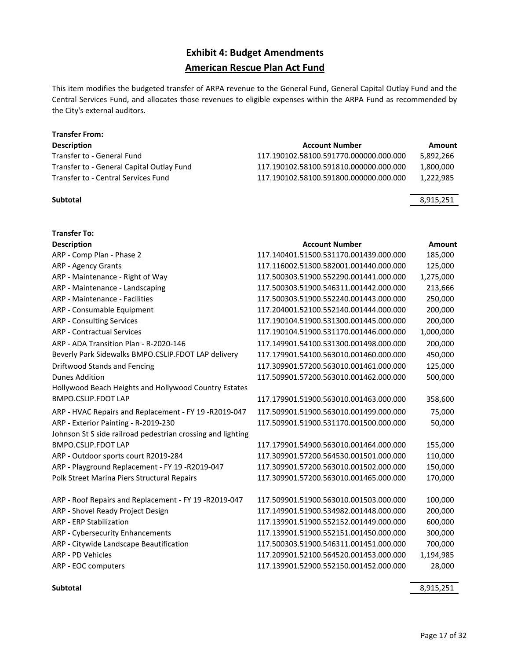### **Exhibit 4: Budget Amendments American Rescue Plan Act Fund**

This item modifies the budgeted transfer of ARPA revenue to the General Fund, General Capital Outlay Fund and the Central Services Fund, and allocates those revenues to eligible expenses within the ARPA Fund as recommended by the City's external auditors.

#### **Transfer From:**

| <b>Account Number</b>                  | Amount    |
|----------------------------------------|-----------|
| 117.190102.58100.591770.000000.000.000 | 5,892,266 |
| 117.190102.58100.591810.000000.000.000 | 1.800.000 |
| 117.190102.58100.591800.000000.000.000 | 1.222.985 |
|                                        |           |

**Transfer To:**

| Subtotal | 8,915,251 |
|----------|-----------|

| <b>Account Number</b>                  | Amount                                 |
|----------------------------------------|----------------------------------------|
| 117.140401.51500.531170.001439.000.000 | 185,000                                |
| 117.116002.51300.582001.001440.000.000 | 125,000                                |
| 117.500303.51900.552290.001441.000.000 | 1,275,000                              |
| 117.500303.51900.546311.001442.000.000 | 213,666                                |
| 117.500303.51900.552240.001443.000.000 | 250,000                                |
| 117.204001.52100.552140.001444.000.000 | 200,000                                |
| 117.190104.51900.531300.001445.000.000 | 200,000                                |
| 117.190104.51900.531170.001446.000.000 | 1,000,000                              |
| 117.149901.54100.531300.001498.000.000 | 200,000                                |
| 117.179901.54100.563010.001460.000.000 | 450,000                                |
| 117.309901.57200.563010.001461.000.000 | 125,000                                |
| 117.509901.57200.563010.001462.000.000 | 500,000                                |
|                                        |                                        |
| 117.179901.51900.563010.001463.000.000 | 358,600                                |
| 117.509901.51900.563010.001499.000.000 | 75,000                                 |
| 117.509901.51900.531170.001500.000.000 | 50,000                                 |
|                                        |                                        |
| 117.179901.54900.563010.001464.000.000 | 155,000                                |
| 117.309901.57200.564530.001501.000.000 | 110,000                                |
| 117.309901.57200.563010.001502.000.000 | 150,000                                |
| 117.309901.57200.563010.001465.000.000 | 170,000                                |
|                                        |                                        |
| 117.509901.51900.563010.001503.000.000 | 100,000                                |
| 117.149901.51900.534982.001448.000.000 | 200,000                                |
| 117.139901.51900.552152.001449.000.000 | 600,000                                |
| 117.139901.51900.552151.001450.000.000 | 300,000                                |
|                                        | 700,000                                |
| 117.209901.52100.564520.001453.000.000 | 1,194,985                              |
| 117.139901.52900.552150.001452.000.000 | 28,000                                 |
|                                        | 117.500303.51900.546311.001451.000.000 |

**Subtotal** 8,915,251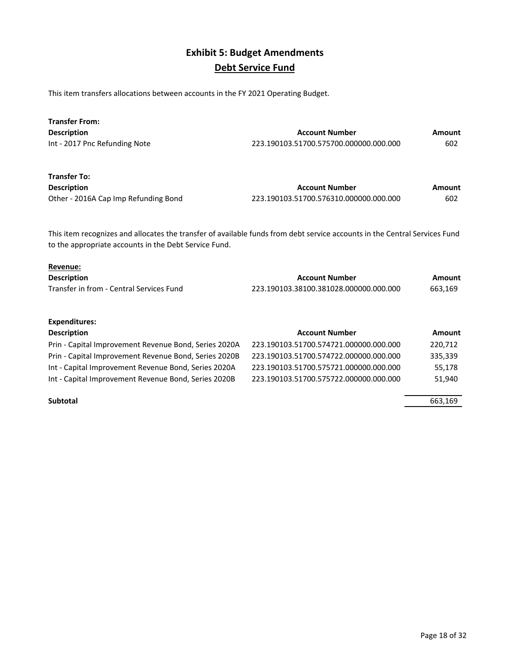### **Exhibit 5: Budget Amendments Debt Service Fund**

This item transfers allocations between accounts in the FY 2021 Operating Budget.

| <b>Transfer From:</b>         |                                        |        |
|-------------------------------|----------------------------------------|--------|
| <b>Description</b>            | <b>Account Number</b>                  | Amount |
| Int - 2017 Pnc Refunding Note | 223.190103.51700.575700.000000.000.000 | 602    |
| <b>Transfer To:</b>           |                                        |        |

| .                                    |                                        |        |
|--------------------------------------|----------------------------------------|--------|
| <b>Description</b>                   | <b>Account Number</b>                  | Amount |
| Other - 2016A Cap Imp Refunding Bond | 223.190103.51700.576310.000000.000.000 | 602    |

This item recognizes and allocates the transfer of available funds from debt service accounts in the Central Services Fund to the appropriate accounts in the Debt Service Fund.

#### **Revenue:**

| <b>Description</b>                       | Account Number                         | Amount  |
|------------------------------------------|----------------------------------------|---------|
| Transfer in from - Central Services Fund | 223.190103.38100.381028.000000.000.000 | 663,169 |

#### **Expenditures:**

| <b>Description</b>                                    | <b>Account Number</b>                  | Amount  |
|-------------------------------------------------------|----------------------------------------|---------|
| Prin - Capital Improvement Revenue Bond, Series 2020A | 223.190103.51700.574721.000000.000.000 | 220,712 |
| Prin - Capital Improvement Revenue Bond, Series 2020B | 223.190103.51700.574722.000000.000.000 | 335,339 |
| Int - Capital Improvement Revenue Bond, Series 2020A  | 223.190103.51700.575721.000000.000.000 | 55.178  |
| Int - Capital Improvement Revenue Bond, Series 2020B  | 223.190103.51700.575722.000000.000.000 | 51.940  |
|                                                       |                                        |         |

#### **Subtotal** 663,169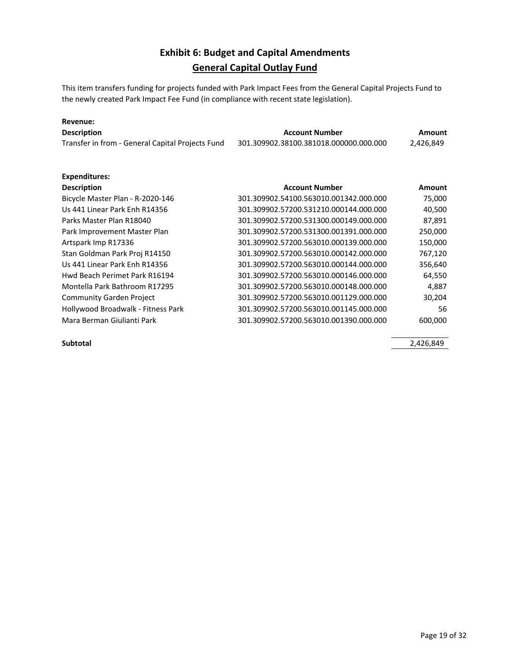### **Exhibit 6: Budget and Capital Amendments General Capital Outlay Fund**

This item transfers funding for projects funded with Park Impact Fees from the General Capital Projects Fund to the newly created Park Impact Fee Fund (in compliance with recent state legislation).

| Revenue:                                         |                                        |               |
|--------------------------------------------------|----------------------------------------|---------------|
| <b>Description</b>                               | <b>Account Number</b>                  | <b>Amount</b> |
| Transfer in from - General Capital Projects Fund | 301.309902.38100.381018.000000.000.000 | 2,426,849     |
| Expenditures:                                    |                                        |               |
| <b>Description</b>                               | <b>Account Number</b>                  | Amount        |
| Bicycle Master Plan - R-2020-146                 | 301.309902.54100.563010.001342.000.000 | 75,000        |
| Us 441 Linear Park Enh R14356                    | 301.309902.57200.531210.000144.000.000 | 40,500        |
| Parks Master Plan R18040                         | 301.309902.57200.531300.000149.000.000 | 87,891        |
| Park Improvement Master Plan                     | 301.309902.57200.531300.001391.000.000 | 250,000       |
| Artspark Imp R17336                              | 301.309902.57200.563010.000139.000.000 | 150,000       |
| Stan Goldman Park Proj R14150                    | 301.309902.57200.563010.000142.000.000 | 767,120       |
| Us 441 Linear Park Enh R14356                    | 301.309902.57200.563010.000144.000.000 | 356,640       |
| Hwd Beach Perimet Park R16194                    | 301.309902.57200.563010.000146.000.000 | 64,550        |
| Montella Park Bathroom R17295                    | 301.309902.57200.563010.000148.000.000 | 4,887         |
| <b>Community Garden Project</b>                  | 301.309902.57200.563010.001129.000.000 | 30,204        |
| Hollywood Broadwalk - Fitness Park               | 301.309902.57200.563010.001145.000.000 | 56            |
| Mara Berman Giulianti Park                       | 301.309902.57200.563010.001390.000.000 | 600,000       |

**Subtotal** 2,426,849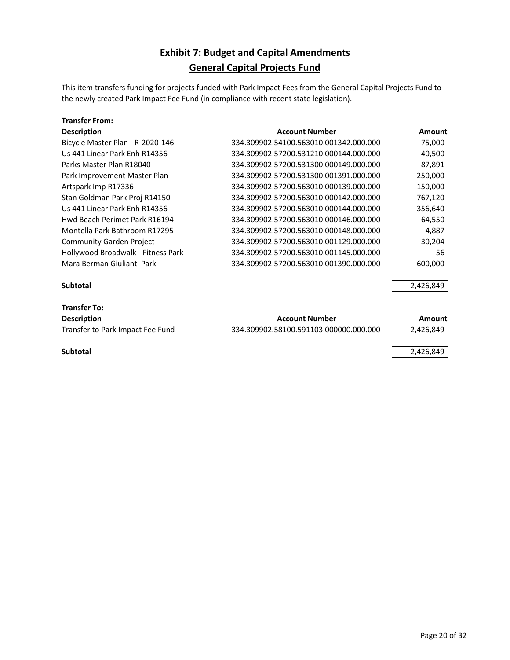### **Exhibit 7: Budget and Capital Amendments General Capital Projects Fund**

This item transfers funding for projects funded with Park Impact Fees from the General Capital Projects Fund to the newly created Park Impact Fee Fund (in compliance with recent state legislation).

| <b>Transfer From:</b>              |                                        |           |
|------------------------------------|----------------------------------------|-----------|
| <b>Description</b>                 | <b>Account Number</b>                  | Amount    |
| Bicycle Master Plan - R-2020-146   | 334.309902.54100.563010.001342.000.000 | 75,000    |
| Us 441 Linear Park Enh R14356      | 334.309902.57200.531210.000144.000.000 | 40,500    |
| Parks Master Plan R18040           | 334.309902.57200.531300.000149.000.000 | 87,891    |
| Park Improvement Master Plan       | 334.309902.57200.531300.001391.000.000 | 250,000   |
| Artspark Imp R17336                | 334.309902.57200.563010.000139.000.000 | 150,000   |
| Stan Goldman Park Proj R14150      | 334.309902.57200.563010.000142.000.000 | 767,120   |
| Us 441 Linear Park Enh R14356      | 334.309902.57200.563010.000144.000.000 | 356,640   |
| Hwd Beach Perimet Park R16194      | 334.309902.57200.563010.000146.000.000 | 64,550    |
| Montella Park Bathroom R17295      | 334.309902.57200.563010.000148.000.000 | 4,887     |
| <b>Community Garden Project</b>    | 334.309902.57200.563010.001129.000.000 | 30,204    |
| Hollywood Broadwalk - Fitness Park | 334.309902.57200.563010.001145.000.000 | 56        |
| Mara Berman Giulianti Park         | 334.309902.57200.563010.001390.000.000 | 600,000   |
| <b>Subtotal</b>                    |                                        | 2,426,849 |
| <b>Transfer To:</b>                |                                        |           |
| <b>Description</b>                 | <b>Account Number</b>                  | Amount    |
| Transfer to Park Impact Fee Fund   | 334.309902.58100.591103.000000.000.000 | 2,426,849 |
| <b>Subtotal</b>                    |                                        | 2,426,849 |
|                                    |                                        |           |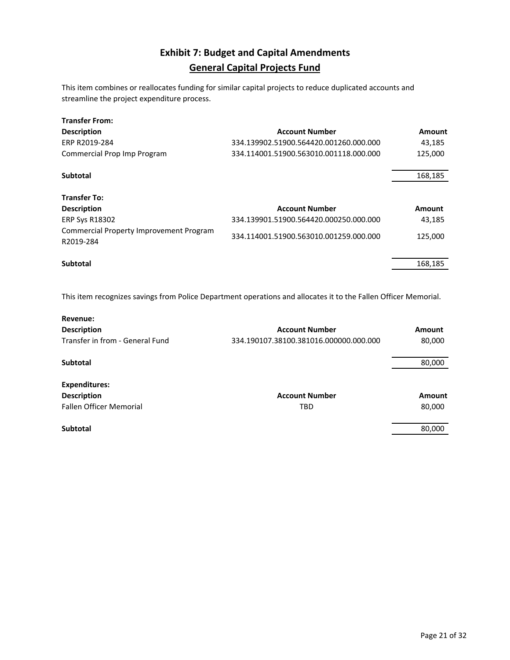### **Exhibit 7: Budget and Capital Amendments General Capital Projects Fund**

This item combines or reallocates funding for similar capital projects to reduce duplicated accounts and streamline the project expenditure process.

| <b>Transfer From:</b><br><b>Description</b><br>ERP R2019-284<br>Commercial Prop Imp Program                                | <b>Account Number</b><br>334.139902.51900.564420.001260.000.000<br>334.114001.51900.563010.001118.000.000 | Amount<br>43,185<br>125,000 |
|----------------------------------------------------------------------------------------------------------------------------|-----------------------------------------------------------------------------------------------------------|-----------------------------|
| <b>Subtotal</b>                                                                                                            |                                                                                                           | 168,185                     |
| <b>Transfer To:</b><br><b>Description</b><br><b>ERP Sys R18302</b><br>Commercial Property Improvement Program<br>R2019-284 | <b>Account Number</b><br>334.139901.51900.564420.000250.000.000<br>334.114001.51900.563010.001259.000.000 | Amount<br>43,185<br>125,000 |
| Subtotal                                                                                                                   |                                                                                                           | 168,185                     |

This item recognizes savings from Police Department operations and allocates it to the Fallen Officer Memorial.

| Revenue:                        |                                        |        |
|---------------------------------|----------------------------------------|--------|
| <b>Description</b>              | <b>Account Number</b>                  | Amount |
| Transfer in from - General Fund | 334.190107.38100.381016.000000.000.000 | 80,000 |
| Subtotal                        |                                        | 80,000 |
| <b>Expenditures:</b>            |                                        |        |
| <b>Description</b>              | <b>Account Number</b>                  | Amount |
| <b>Fallen Officer Memorial</b>  | <b>TBD</b>                             | 80,000 |
| <b>Subtotal</b>                 |                                        | 80,000 |
|                                 |                                        |        |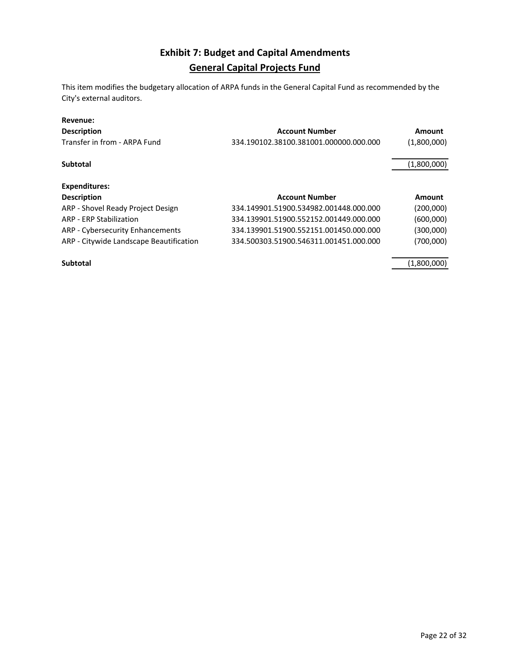### **Exhibit 7: Budget and Capital Amendments General Capital Projects Fund**

This item modifies the budgetary allocation of ARPA funds in the General Capital Fund as recommended by the City's external auditors.

#### **Revenue:**

| <b>Description</b><br>Transfer in from - ARPA Fund | <b>Account Number</b><br>334.190102.38100.381001.000000.000.000 | Amount<br>(1,800,000) |
|----------------------------------------------------|-----------------------------------------------------------------|-----------------------|
|                                                    |                                                                 |                       |
| <b>Subtotal</b>                                    |                                                                 | (1,800,000)           |
| <b>Expenditures:</b>                               |                                                                 |                       |
| <b>Description</b>                                 | <b>Account Number</b>                                           | Amount                |
| ARP - Shovel Ready Project Design                  | 334.149901.51900.534982.001448.000.000                          | (200,000)             |
| <b>ARP - ERP Stabilization</b>                     | 334.139901.51900.552152.001449.000.000                          | (600,000)             |
| ARP - Cybersecurity Enhancements                   | 334.139901.51900.552151.001450.000.000                          | (300,000)             |
| ARP - Citywide Landscape Beautification            | 334.500303.51900.546311.001451.000.000                          | (700,000)             |
| <b>Subtotal</b>                                    |                                                                 | (1,800,000)           |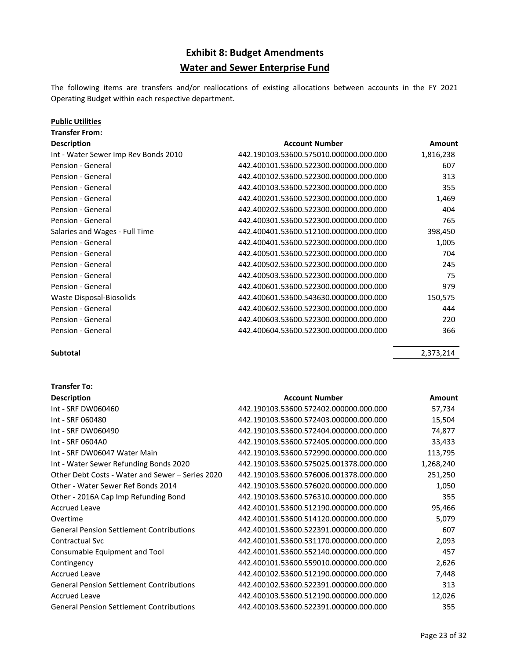### **Exhibit 8: Budget Amendments Water and Sewer Enterprise Fund**

The following items are transfers and/or reallocations of existing allocations between accounts in the FY 2021 Operating Budget within each respective department.

#### **Public Utilities**

**Transfer From:**

| <b>Description</b>                   | <b>Account Number</b>                  | Amount    |
|--------------------------------------|----------------------------------------|-----------|
| Int - Water Sewer Imp Rev Bonds 2010 | 442.190103.53600.575010.000000.000.000 | 1,816,238 |
| Pension - General                    | 442.400101.53600.522300.000000.000.000 | 607       |
| Pension - General                    | 442.400102.53600.522300.000000.000.000 | 313       |
| Pension - General                    | 442.400103.53600.522300.000000.000.000 | 355       |
| Pension - General                    | 442.400201.53600.522300.000000.000.000 | 1,469     |
| Pension - General                    | 442.400202.53600.522300.000000.000.000 | 404       |
| Pension - General                    | 442.400301.53600.522300.000000.000.000 | 765       |
| Salaries and Wages - Full Time       | 442.400401.53600.512100.000000.000.000 | 398,450   |
| Pension - General                    | 442.400401.53600.522300.000000.000.000 | 1,005     |
| Pension - General                    | 442.400501.53600.522300.000000.000.000 | 704       |
| Pension - General                    | 442.400502.53600.522300.000000.000.000 | 245       |
| Pension - General                    | 442.400503.53600.522300.000000.000.000 | 75        |
| Pension - General                    | 442.400601.53600.522300.000000.000.000 | 979       |
| Waste Disposal-Biosolids             | 442.400601.53600.543630.000000.000.000 | 150,575   |
| Pension - General                    | 442.400602.53600.522300.000000.000.000 | 444       |
| Pension - General                    | 442.400603.53600.522300.000000.000.000 | 220       |
| Pension - General                    | 442.400604.53600.522300.000000.000.000 | 366       |

**Transfer To:**

**Subtotal** 2,373,214

| <b>Description</b>                               | <b>Account Number</b>                  | Amount    |
|--------------------------------------------------|----------------------------------------|-----------|
| Int - SRF DW060460                               | 442.190103.53600.572402.000000.000.000 | 57,734    |
| Int - SRF 060480                                 | 442.190103.53600.572403.000000.000.000 | 15,504    |
| Int - SRF DW060490                               | 442.190103.53600.572404.000000.000.000 | 74,877    |
| Int - SRF 0604A0                                 | 442.190103.53600.572405.000000.000.000 | 33,433    |
| Int - SRF DW06047 Water Main                     | 442.190103.53600.572990.000000.000.000 | 113,795   |
| Int - Water Sewer Refunding Bonds 2020           | 442.190103.53600.575025.001378.000.000 | 1,268,240 |
| Other Debt Costs - Water and Sewer – Series 2020 | 442.190103.53600.576006.001378.000.000 | 251,250   |
| Other - Water Sewer Ref Bonds 2014               | 442.190103.53600.576020.000000.000.000 | 1,050     |
| Other - 2016A Cap Imp Refunding Bond             | 442.190103.53600.576310.000000.000.000 | 355       |
| <b>Accrued Leave</b>                             | 442.400101.53600.512190.000000.000.000 | 95,466    |
| Overtime                                         | 442.400101.53600.514120.000000.000.000 | 5,079     |
| <b>General Pension Settlement Contributions</b>  | 442.400101.53600.522391.000000.000.000 | 607       |
| Contractual Svc                                  | 442.400101.53600.531170.000000.000.000 | 2,093     |
| Consumable Equipment and Tool                    | 442.400101.53600.552140.000000.000.000 | 457       |
| Contingency                                      | 442.400101.53600.559010.000000.000.000 | 2,626     |
| <b>Accrued Leave</b>                             | 442.400102.53600.512190.000000.000.000 | 7,448     |
| <b>General Pension Settlement Contributions</b>  | 442.400102.53600.522391.000000.000.000 | 313       |
| <b>Accrued Leave</b>                             | 442.400103.53600.512190.000000.000.000 | 12,026    |
| <b>General Pension Settlement Contributions</b>  | 442.400103.53600.522391.000000.000.000 | 355       |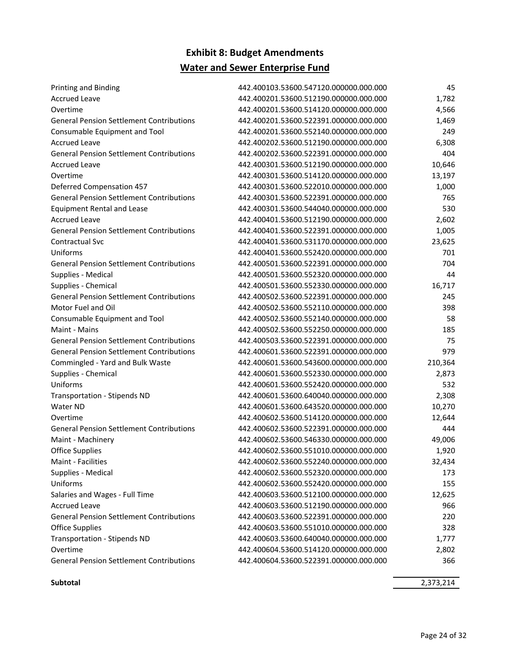### **Exhibit 8: Budget Amendments Water and Sewer Enterprise Fund**

| <b>Printing and Binding</b>                     | 442.400103.53600.547120.000000.000.000 | 45      |
|-------------------------------------------------|----------------------------------------|---------|
| <b>Accrued Leave</b>                            | 442.400201.53600.512190.000000.000.000 | 1,782   |
| Overtime                                        | 442.400201.53600.514120.000000.000.000 | 4,566   |
| <b>General Pension Settlement Contributions</b> | 442.400201.53600.522391.000000.000.000 | 1,469   |
| Consumable Equipment and Tool                   | 442.400201.53600.552140.000000.000.000 | 249     |
| <b>Accrued Leave</b>                            | 442.400202.53600.512190.000000.000.000 | 6,308   |
| <b>General Pension Settlement Contributions</b> | 442.400202.53600.522391.000000.000.000 | 404     |
| <b>Accrued Leave</b>                            | 442.400301.53600.512190.000000.000.000 | 10,646  |
| Overtime                                        | 442.400301.53600.514120.000000.000.000 | 13,197  |
| <b>Deferred Compensation 457</b>                | 442.400301.53600.522010.000000.000.000 | 1,000   |
| <b>General Pension Settlement Contributions</b> | 442.400301.53600.522391.000000.000.000 | 765     |
| <b>Equipment Rental and Lease</b>               | 442.400301.53600.544040.000000.000.000 | 530     |
| <b>Accrued Leave</b>                            | 442.400401.53600.512190.000000.000.000 | 2,602   |
| <b>General Pension Settlement Contributions</b> | 442.400401.53600.522391.000000.000.000 | 1,005   |
| Contractual Svc                                 | 442.400401.53600.531170.000000.000.000 | 23,625  |
| Uniforms                                        | 442.400401.53600.552420.000000.000.000 | 701     |
| <b>General Pension Settlement Contributions</b> | 442.400501.53600.522391.000000.000.000 | 704     |
| Supplies - Medical                              | 442.400501.53600.552320.000000.000.000 | 44      |
| Supplies - Chemical                             | 442.400501.53600.552330.000000.000.000 | 16,717  |
| <b>General Pension Settlement Contributions</b> | 442.400502.53600.522391.000000.000.000 | 245     |
| Motor Fuel and Oil                              | 442.400502.53600.552110.000000.000.000 | 398     |
| Consumable Equipment and Tool                   | 442.400502.53600.552140.000000.000.000 | 58      |
| Maint - Mains                                   | 442.400502.53600.552250.000000.000.000 | 185     |
| <b>General Pension Settlement Contributions</b> | 442.400503.53600.522391.000000.000.000 | 75      |
| <b>General Pension Settlement Contributions</b> | 442.400601.53600.522391.000000.000.000 | 979     |
| Commingled - Yard and Bulk Waste                | 442.400601.53600.543600.000000.000.000 | 210,364 |
| Supplies - Chemical                             | 442.400601.53600.552330.000000.000.000 | 2,873   |
| Uniforms                                        | 442.400601.53600.552420.000000.000.000 | 532     |
| <b>Transportation - Stipends ND</b>             | 442.400601.53600.640040.000000.000.000 | 2,308   |
| Water ND                                        | 442.400601.53600.643520.000000.000.000 | 10,270  |
| Overtime                                        | 442.400602.53600.514120.000000.000.000 | 12,644  |
| <b>General Pension Settlement Contributions</b> | 442.400602.53600.522391.000000.000.000 | 444     |
| Maint - Machinery                               | 442.400602.53600.546330.000000.000.000 | 49,006  |
| <b>Office Supplies</b>                          | 442.400602.53600.551010.000000.000.000 | 1,920   |
| Maint - Facilities                              | 442.400602.53600.552240.000000.000.000 | 32,434  |
| Supplies - Medical                              | 442.400602.53600.552320.000000.000.000 | 173     |
| Uniforms                                        | 442.400602.53600.552420.000000.000.000 | 155     |
| Salaries and Wages - Full Time                  | 442.400603.53600.512100.000000.000.000 | 12,625  |
| <b>Accrued Leave</b>                            | 442.400603.53600.512190.000000.000.000 | 966     |
| <b>General Pension Settlement Contributions</b> | 442.400603.53600.522391.000000.000.000 | 220     |
| <b>Office Supplies</b>                          | 442.400603.53600.551010.000000.000.000 | 328     |
| <b>Transportation - Stipends ND</b>             | 442.400603.53600.640040.000000.000.000 | 1,777   |
| Overtime                                        | 442.400604.53600.514120.000000.000.000 | 2,802   |
| <b>General Pension Settlement Contributions</b> | 442.400604.53600.522391.000000.000.000 | 366     |
|                                                 |                                        |         |

**Subtotal** 2,373,214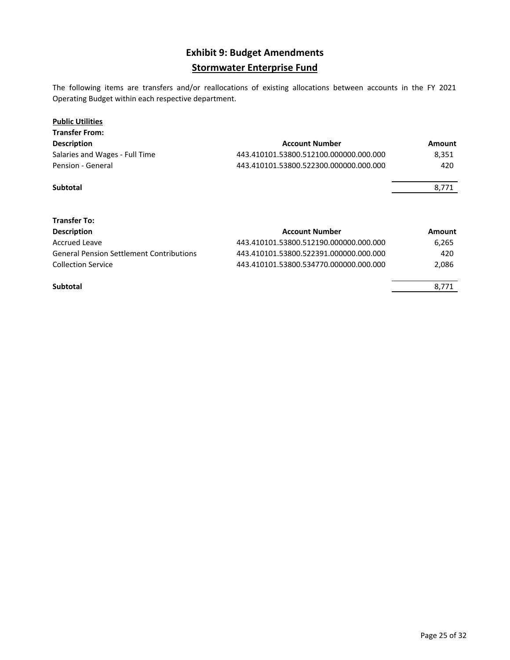### **Exhibit 9: Budget Amendments Stormwater Enterprise Fund**

The following items are transfers and/or reallocations of existing allocations between accounts in the FY 2021 Operating Budget within each respective department.

#### **Public Utilities**

| <b>Transfer From:</b>          |                                        |        |
|--------------------------------|----------------------------------------|--------|
| <b>Description</b>             | <b>Account Number</b>                  | Amount |
| Salaries and Wages - Full Time | 443.410101.53800.512100.000000.000.000 | 8.351  |
| Pension - General              | 443.410101.53800.522300.000000.000.000 | 420    |
|                                |                                        |        |

**Subtotal** 8,771

| <b>Transfer To:</b>                             |                                        |        |
|-------------------------------------------------|----------------------------------------|--------|
| <b>Description</b>                              | <b>Account Number</b>                  | Amount |
| Accrued Leave                                   | 443.410101.53800.512190.000000.000.000 | 6.265  |
| <b>General Pension Settlement Contributions</b> | 443.410101.53800.522391.000000.000.000 | 420    |
| <b>Collection Service</b>                       | 443.410101.53800.534770.000000.000.000 | 2.086  |
| <b>Subtotal</b>                                 |                                        | 8.771  |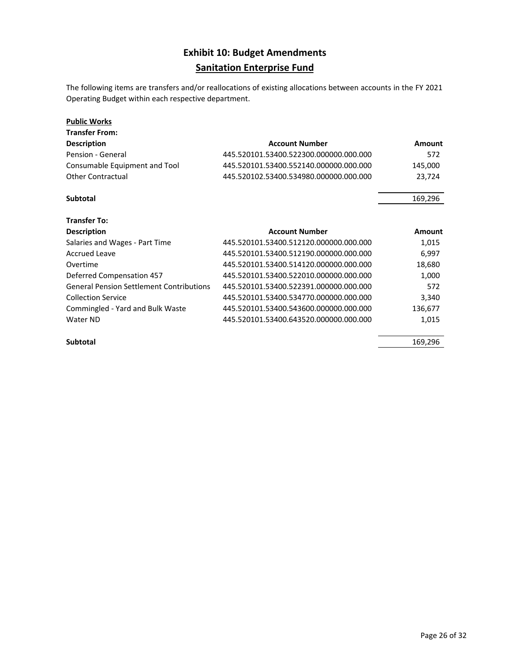### **Exhibit 10: Budget Amendments Sanitation Enterprise Fund**

The following items are transfers and/or reallocations of existing allocations between accounts in the FY 2021 Operating Budget within each respective department.

| <b>Public Works</b>                             |                                        |         |
|-------------------------------------------------|----------------------------------------|---------|
| <b>Transfer From:</b>                           |                                        |         |
| <b>Description</b>                              | <b>Account Number</b>                  | Amount  |
| Pension - General                               | 445.520101.53400.522300.000000.000.000 | 572     |
| Consumable Equipment and Tool                   | 445.520101.53400.552140.000000.000.000 | 145,000 |
| <b>Other Contractual</b>                        | 445.520102.53400.534980.000000.000.000 | 23,724  |
| <b>Subtotal</b>                                 |                                        | 169,296 |
| <b>Transfer To:</b>                             |                                        |         |
| <b>Description</b>                              | <b>Account Number</b>                  | Amount  |
| Salaries and Wages - Part Time                  | 445.520101.53400.512120.000000.000.000 | 1,015   |
|                                                 |                                        |         |
| <b>Accrued Leave</b>                            | 445.520101.53400.512190.000000.000.000 | 6,997   |
| Overtime                                        | 445.520101.53400.514120.000000.000.000 | 18,680  |
| <b>Deferred Compensation 457</b>                | 445.520101.53400.522010.000000.000.000 | 1,000   |
| <b>General Pension Settlement Contributions</b> | 445.520101.53400.522391.000000.000.000 | 572     |
| <b>Collection Service</b>                       | 445.520101.53400.534770.000000.000.000 | 3,340   |
| Commingled - Yard and Bulk Waste                | 445.520101.53400.543600.000000.000.000 | 136,677 |

**Subtotal** 169,296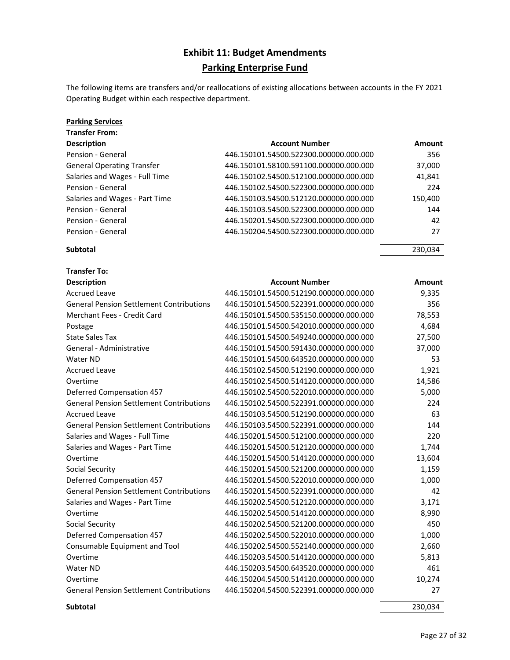### **Exhibit 11: Budget Amendments Parking Enterprise Fund**

The following items are transfers and/or reallocations of existing allocations between accounts in the FY 2021 Operating Budget within each respective department.

#### **Parking Services Transfer From:**

| HANSIEI FIUIN.                    |                                        |         |
|-----------------------------------|----------------------------------------|---------|
| <b>Description</b>                | <b>Account Number</b>                  | Amount  |
| Pension - General                 | 446.150101.54500.522300.000000.000.000 | 356     |
| <b>General Operating Transfer</b> | 446.150101.58100.591100.000000.000.000 | 37,000  |
| Salaries and Wages - Full Time    | 446.150102.54500.512100.000000.000.000 | 41,841  |
| Pension - General                 | 446.150102.54500.522300.000000.000.000 | 224     |
| Salaries and Wages - Part Time    | 446.150103.54500.512120.000000.000.000 | 150,400 |
| Pension - General                 | 446.150103.54500.522300.000000.000.000 | 144     |
| Pension - General                 | 446.150201.54500.522300.000000.000.000 | 42      |
| Pension - General                 | 446.150204.54500.522300.000000.000.000 | 27      |

### **Subtotal** 230,034

| <b>Transfer To:</b>                             |                                        |               |
|-------------------------------------------------|----------------------------------------|---------------|
| <b>Description</b>                              | <b>Account Number</b>                  | <b>Amount</b> |
| <b>Accrued Leave</b>                            | 446.150101.54500.512190.000000.000.000 | 9,335         |
| <b>General Pension Settlement Contributions</b> | 446.150101.54500.522391.000000.000.000 | 356           |
| <b>Merchant Fees - Credit Card</b>              | 446.150101.54500.535150.000000.000.000 | 78,553        |
| Postage                                         | 446.150101.54500.542010.000000.000.000 | 4,684         |
| <b>State Sales Tax</b>                          | 446.150101.54500.549240.000000.000.000 | 27,500        |
| General - Administrative                        | 446.150101.54500.591430.000000.000.000 | 37,000        |
| Water ND                                        | 446.150101.54500.643520.000000.000.000 | 53            |
| <b>Accrued Leave</b>                            | 446.150102.54500.512190.000000.000.000 | 1,921         |
| Overtime                                        | 446.150102.54500.514120.000000.000.000 | 14,586        |
| <b>Deferred Compensation 457</b>                | 446.150102.54500.522010.000000.000.000 | 5,000         |
| <b>General Pension Settlement Contributions</b> | 446.150102.54500.522391.000000.000.000 | 224           |
| <b>Accrued Leave</b>                            | 446.150103.54500.512190.000000.000.000 | 63            |
| <b>General Pension Settlement Contributions</b> | 446.150103.54500.522391.000000.000.000 | 144           |
| Salaries and Wages - Full Time                  | 446.150201.54500.512100.000000.000.000 | 220           |
| Salaries and Wages - Part Time                  | 446.150201.54500.512120.000000.000.000 | 1,744         |
| Overtime                                        | 446.150201.54500.514120.000000.000.000 | 13,604        |
| Social Security                                 | 446.150201.54500.521200.000000.000.000 | 1,159         |
| <b>Deferred Compensation 457</b>                | 446.150201.54500.522010.000000.000.000 | 1,000         |
| <b>General Pension Settlement Contributions</b> | 446.150201.54500.522391.000000.000.000 | 42            |
| Salaries and Wages - Part Time                  | 446.150202.54500.512120.000000.000.000 | 3,171         |
| Overtime                                        | 446.150202.54500.514120.000000.000.000 | 8,990         |
| Social Security                                 | 446.150202.54500.521200.000000.000.000 | 450           |
| <b>Deferred Compensation 457</b>                | 446.150202.54500.522010.000000.000.000 | 1,000         |
| Consumable Equipment and Tool                   | 446.150202.54500.552140.000000.000.000 | 2,660         |
| Overtime                                        | 446.150203.54500.514120.000000.000.000 | 5,813         |
| Water ND                                        | 446.150203.54500.643520.000000.000.000 | 461           |
| Overtime                                        | 446.150204.54500.514120.000000.000.000 | 10,274        |
| <b>General Pension Settlement Contributions</b> | 446.150204.54500.522391.000000.000.000 | 27            |

**Subtotal** 230,034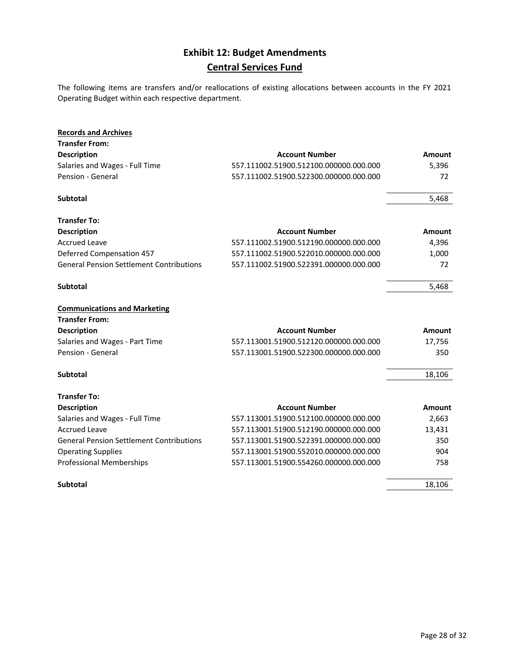### **Exhibit 12: Budget Amendments Central Services Fund**

The following items are transfers and/or reallocations of existing allocations between accounts in the FY 2021 Operating Budget within each respective department.

| <b>Records and Archives</b>                     |                                        |        |
|-------------------------------------------------|----------------------------------------|--------|
| <b>Transfer From:</b>                           |                                        |        |
| <b>Description</b>                              | <b>Account Number</b>                  | Amount |
| Salaries and Wages - Full Time                  | 557.111002.51900.512100.000000.000.000 | 5,396  |
| Pension - General                               | 557.111002.51900.522300.000000.000.000 | 72     |
| <b>Subtotal</b>                                 |                                        | 5,468  |
| <b>Transfer To:</b>                             |                                        |        |
| <b>Description</b>                              | <b>Account Number</b>                  | Amount |
| <b>Accrued Leave</b>                            | 557.111002.51900.512190.000000.000.000 | 4,396  |
| <b>Deferred Compensation 457</b>                | 557.111002.51900.522010.000000.000.000 | 1,000  |
| <b>General Pension Settlement Contributions</b> | 557.111002.51900.522391.000000.000.000 | 72     |
| <b>Subtotal</b>                                 |                                        | 5,468  |
| <b>Communications and Marketing</b>             |                                        |        |
| <b>Transfer From:</b>                           |                                        |        |
| Description                                     | <b>Account Number</b>                  | Amount |
| Salaries and Wages - Part Time                  | 557.113001.51900.512120.000000.000.000 | 17,756 |
| Pension - General                               | 557.113001.51900.522300.000000.000.000 | 350    |
| Subtotal                                        |                                        | 18,106 |
| <b>Transfer To:</b>                             |                                        |        |
| <b>Description</b>                              | <b>Account Number</b>                  | Amount |
| Salaries and Wages - Full Time                  | 557.113001.51900.512100.000000.000.000 | 2,663  |
| <b>Accrued Leave</b>                            | 557.113001.51900.512190.000000.000.000 | 13,431 |
| <b>General Pension Settlement Contributions</b> | 557.113001.51900.522391.000000.000.000 | 350    |
| <b>Operating Supplies</b>                       | 557.113001.51900.552010.000000.000.000 | 904    |
| <b>Professional Memberships</b>                 | 557.113001.51900.554260.000000.000.000 | 758    |
| <b>Subtotal</b>                                 |                                        | 18,106 |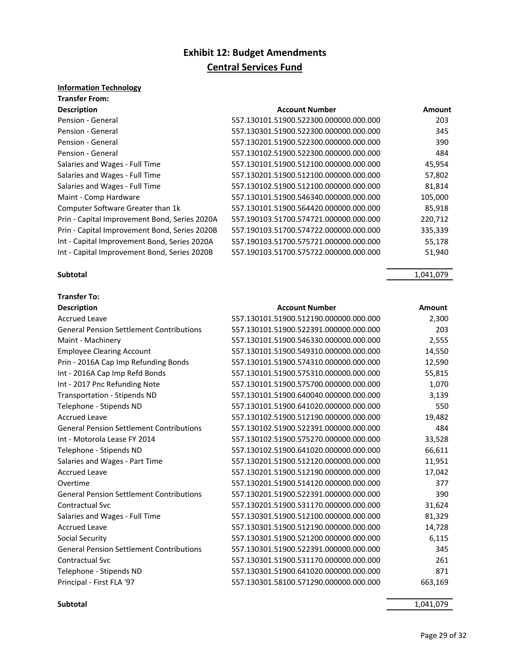### **Exhibit 12: Budget Amendments Central Services Fund**

### **Information Technology**

| <b>Transfer From:</b>                         |                                        |         |
|-----------------------------------------------|----------------------------------------|---------|
| <b>Description</b>                            | <b>Account Number</b>                  | Amount  |
| Pension - General                             | 557.130101.51900.522300.000000.000.000 | 203     |
| Pension - General                             | 557.130301.51900.522300.000000.000.000 | 345     |
| Pension - General                             | 557.130201.51900.522300.000000.000.000 | 390     |
| Pension - General                             | 557.130102.51900.522300.000000.000.000 | 484     |
| Salaries and Wages - Full Time                | 557.130101.51900.512100.000000.000.000 | 45,954  |
| Salaries and Wages - Full Time                | 557.130201.51900.512100.000000.000.000 | 57,802  |
| Salaries and Wages - Full Time                | 557.130102.51900.512100.000000.000.000 | 81,814  |
| Maint - Comp Hardware                         | 557.130101.51900.546340.000000.000.000 | 105,000 |
| Computer Software Greater than 1k             | 557.130101.51900.564420.000000.000.000 | 85,918  |
| Prin - Capital Improvement Bond, Series 2020A | 557.190103.51700.574721.000000.000.000 | 220,712 |
| Prin - Capital Improvement Bond, Series 2020B | 557.190103.51700.574722.000000.000.000 | 335,339 |
| Int - Capital Improvement Bond, Series 2020A  | 557.190103.51700.575721.000000.000.000 | 55,178  |
| Int - Capital Improvement Bond, Series 2020B  | 557.190103.51700.575722.000000.000.000 | 51,940  |

#### **Subtotal** 1,041,079

**Transfer To:**

| <b>Description</b>                              | <b>Account Number</b>                  | Amount  |
|-------------------------------------------------|----------------------------------------|---------|
| <b>Accrued Leave</b>                            | 557.130101.51900.512190.000000.000.000 | 2,300   |
| <b>General Pension Settlement Contributions</b> | 557.130101.51900.522391.000000.000.000 | 203     |
| Maint - Machinery                               | 557.130101.51900.546330.000000.000.000 | 2,555   |
| <b>Employee Clearing Account</b>                | 557.130101.51900.549310.000000.000.000 | 14,550  |
| Prin - 2016A Cap Imp Refunding Bonds            | 557.130101.51900.574310.000000.000.000 | 12,590  |
| Int - 2016A Cap Imp Refd Bonds                  | 557.130101.51900.575310.000000.000.000 | 55,815  |
| Int - 2017 Pnc Refunding Note                   | 557.130101.51900.575700.000000.000.000 | 1,070   |
| <b>Transportation - Stipends ND</b>             | 557.130101.51900.640040.000000.000.000 | 3,139   |
| Telephone - Stipends ND                         | 557.130101.51900.641020.000000.000.000 | 550     |
| <b>Accrued Leave</b>                            | 557.130102.51900.512190.000000.000.000 | 19,482  |
| <b>General Pension Settlement Contributions</b> | 557.130102.51900.522391.000000.000.000 | 484     |
| Int - Motorola Lease FY 2014                    | 557.130102.51900.575270.000000.000.000 | 33,528  |
| Telephone - Stipends ND                         | 557.130102.51900.641020.000000.000.000 | 66,611  |
| Salaries and Wages - Part Time                  | 557.130201.51900.512120.000000.000.000 | 11,951  |
| <b>Accrued Leave</b>                            | 557.130201.51900.512190.000000.000.000 | 17,042  |
| Overtime                                        | 557.130201.51900.514120.000000.000.000 | 377     |
| <b>General Pension Settlement Contributions</b> | 557.130201.51900.522391.000000.000.000 | 390     |
| <b>Contractual Svc</b>                          | 557.130201.51900.531170.000000.000.000 | 31,624  |
| Salaries and Wages - Full Time                  | 557.130301.51900.512100.000000.000.000 | 81,329  |
| <b>Accrued Leave</b>                            | 557.130301.51900.512190.000000.000.000 | 14,728  |
| Social Security                                 | 557.130301.51900.521200.000000.000.000 | 6,115   |
| <b>General Pension Settlement Contributions</b> | 557.130301.51900.522391.000000.000.000 | 345     |
| <b>Contractual Svc</b>                          | 557.130301.51900.531170.000000.000.000 | 261     |
| Telephone - Stipends ND                         | 557.130301.51900.641020.000000.000.000 | 871     |
| Principal - First FLA '97                       | 557.130301.58100.571290.000000.000.000 | 663,169 |

**Subtotal** 1,041,079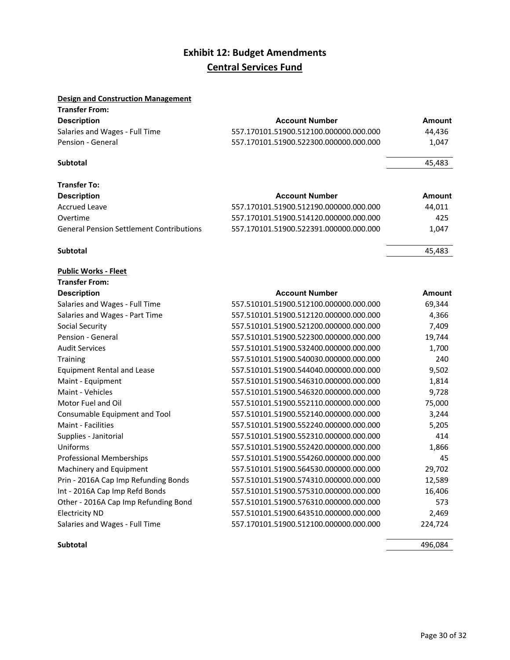### **Exhibit 12: Budget Amendments Central Services Fund**

### **Design and Construction Management**

| <b>Transfer From:</b>                           |                                        |        |
|-------------------------------------------------|----------------------------------------|--------|
| <b>Description</b>                              | <b>Account Number</b>                  | Amount |
| Salaries and Wages - Full Time                  | 557.170101.51900.512100.000000.000.000 | 44,436 |
| Pension - General                               | 557.170101.51900.522300.000000.000.000 | 1,047  |
| Subtotal                                        |                                        | 45,483 |
| <b>Transfer To:</b>                             |                                        |        |
| <b>Description</b>                              | <b>Account Number</b>                  | Amount |
| <b>Accrued Leave</b>                            | 557.170101.51900.512190.000000.000.000 | 44,011 |
| Overtime                                        | 557.170101.51900.514120.000000.000.000 | 425    |
| <b>General Pension Settlement Contributions</b> | 557.170101.51900.522391.000000.000.000 | 1,047  |

#### **Subtotal** 45,483

| <b>Public Works - Fleet</b>          |                                        |         |
|--------------------------------------|----------------------------------------|---------|
| <b>Transfer From:</b>                |                                        |         |
| <b>Description</b>                   | <b>Account Number</b>                  | Amount  |
| Salaries and Wages - Full Time       | 557.510101.51900.512100.000000.000.000 | 69,344  |
| Salaries and Wages - Part Time       | 557.510101.51900.512120.000000.000.000 | 4,366   |
| Social Security                      | 557.510101.51900.521200.000000.000.000 | 7,409   |
| Pension - General                    | 557.510101.51900.522300.000000.000.000 | 19,744  |
| <b>Audit Services</b>                | 557.510101.51900.532400.000000.000.000 | 1,700   |
| Training                             | 557.510101.51900.540030.000000.000.000 | 240     |
| <b>Equipment Rental and Lease</b>    | 557.510101.51900.544040.000000.000.000 | 9,502   |
| Maint - Equipment                    | 557.510101.51900.546310.000000.000.000 | 1,814   |
| Maint - Vehicles                     | 557.510101.51900.546320.000000.000.000 | 9,728   |
| Motor Fuel and Oil                   | 557.510101.51900.552110.000000.000.000 | 75,000  |
| Consumable Equipment and Tool        | 557.510101.51900.552140.000000.000.000 | 3,244   |
| Maint - Facilities                   | 557.510101.51900.552240.000000.000.000 | 5,205   |
| Supplies - Janitorial                | 557.510101.51900.552310.000000.000.000 | 414     |
| Uniforms                             | 557.510101.51900.552420.000000.000.000 | 1,866   |
| <b>Professional Memberships</b>      | 557.510101.51900.554260.000000.000.000 | 45      |
| Machinery and Equipment              | 557.510101.51900.564530.000000.000.000 | 29,702  |
| Prin - 2016A Cap Imp Refunding Bonds | 557.510101.51900.574310.000000.000.000 | 12,589  |
| Int - 2016A Cap Imp Refd Bonds       | 557.510101.51900.575310.000000.000.000 | 16,406  |
| Other - 2016A Cap Imp Refunding Bond | 557.510101.51900.576310.000000.000.000 | 573     |
| <b>Electricity ND</b>                | 557.510101.51900.643510.000000.000.000 | 2,469   |
| Salaries and Wages - Full Time       | 557.170101.51900.512100.000000.000.000 | 224,724 |

#### **Subtotal** 496,084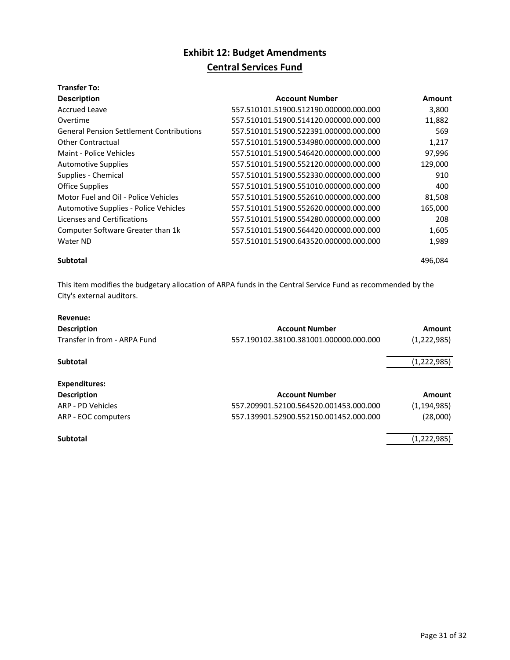## **Exhibit 12: Budget Amendments**

### **Central Services Fund**

### **Transfer To:**

| <b>Description</b>                              | <b>Account Number</b>                  | Amount  |
|-------------------------------------------------|----------------------------------------|---------|
| <b>Accrued Leave</b>                            | 557.510101.51900.512190.000000.000.000 | 3,800   |
| Overtime                                        | 557.510101.51900.514120.000000.000.000 | 11,882  |
| <b>General Pension Settlement Contributions</b> | 557.510101.51900.522391.000000.000.000 | 569     |
| <b>Other Contractual</b>                        | 557.510101.51900.534980.000000.000.000 | 1,217   |
| Maint - Police Vehicles                         | 557.510101.51900.546420.000000.000.000 | 97,996  |
| <b>Automotive Supplies</b>                      | 557.510101.51900.552120.000000.000.000 | 129,000 |
| Supplies - Chemical                             | 557.510101.51900.552330.000000.000.000 | 910     |
| <b>Office Supplies</b>                          | 557.510101.51900.551010.000000.000.000 | 400     |
| Motor Fuel and Oil - Police Vehicles            | 557.510101.51900.552610.000000.000.000 | 81,508  |
| Automotive Supplies - Police Vehicles           | 557.510101.51900.552620.000000.000.000 | 165,000 |
| Licenses and Certifications                     | 557.510101.51900.554280.000000.000.000 | 208     |
| Computer Software Greater than 1k               | 557.510101.51900.564420.000000.000.000 | 1,605   |
| Water ND                                        | 557.510101.51900.643520.000000.000.000 | 1,989   |
| <b>Subtotal</b>                                 |                                        | 496.084 |

This item modifies the budgetary allocation of ARPA funds in the Central Service Fund as recommended by the City's external auditors.

| Revenue:                     |                                        |               |
|------------------------------|----------------------------------------|---------------|
| <b>Description</b>           | <b>Account Number</b>                  | Amount        |
| Transfer in from - ARPA Fund | 557.190102.38100.381001.000000.000.000 | (1,222,985)   |
| <b>Subtotal</b>              |                                        | (1,222,985)   |
| Expenditures:                |                                        |               |
| <b>Description</b>           | <b>Account Number</b>                  | Amount        |
| ARP - PD Vehicles            | 557.209901.52100.564520.001453.000.000 | (1, 194, 985) |
| ARP - EOC computers          | 557.139901.52900.552150.001452.000.000 | (28,000)      |
| <b>Subtotal</b>              |                                        | (1,222,985)   |